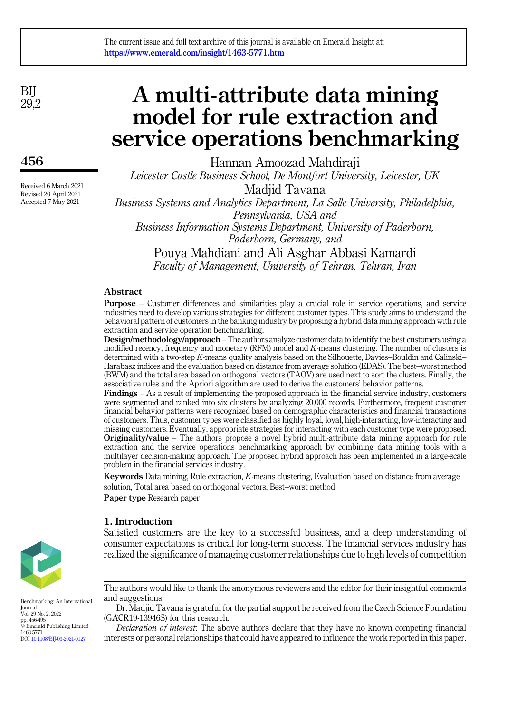BIJ  $29.2$ 

456

Received 6 March 2021 Revised 20 April 2021 Accepted 7 May 2021

# A multi-attribute data mining model for rule extraction and service operations benchmarking

Hannan Amoozad Mahdiraji Leicester Castle Business School, De Montfort University, Leicester, UK

Madjid Tavana Business Systems and Analytics Department, La Salle University, Philadelphia, Pennsylvania, USA and Business Information Systems Department, University of Paderborn, Paderborn, Germany, and Pouya Mahdiani and Ali Asghar Abbasi Kamardi Faculty of Management, University of Tehran, Tehran, Iran

# Abstract

Purpose – Customer differences and similarities play a crucial role in service operations, and service industries need to develop various strategies for different customer types. This study aims to understand the behavioral pattern of customers in the banking industry by proposing a hybrid data mining approach with rule extraction and service operation benchmarking.

Design/methodology/approach – The authors analyze customer data to identify the best customers using a modified recency, frequency and monetary (RFM) model and  $K$ -means clustering. The number of clusters is determined with a two-step K-means quality analysis based on the Silhouette, Davies–Bouldin and Calinski– Harabasz indices and the evaluation based on distance from average solution (EDAS). The best–worst method (BWM) and the total area based on orthogonal vectors (TAOV) are used next to sort the clusters. Finally, the associative rules and the Apriori algorithm are used to derive the customers' behavior patterns.

Findings – As a result of implementing the proposed approach in the financial service industry, customers were segmented and ranked into six clusters by analyzing 20,000 records. Furthermore, frequent customer financial behavior patterns were recognized based on demographic characteristics and financial transactions of customers. Thus, customer types were classified as highly loyal, loyal, high-interacting, low-interacting and missing customers. Eventually, appropriate strategies for interacting with each customer type were proposed. Originality/value – The authors propose a novel hybrid multi-attribute data mining approach for rule extraction and the service operations benchmarking approach by combining data mining tools with a multilayer decision-making approach. The proposed hybrid approach has been implemented in a large-scale problem in the financial services industry.

Keywords Data mining, Rule extraction, K-means clustering, Evaluation based on distance from average solution, Total area based on orthogonal vectors, Best–worst method

Paper type Research paper

# 1. Introduction

Satisfied customers are the key to a successful business, and a deep understanding of consumer expectations is critical for long-term success. The financial services industry has realized the significance of managing customer relationships due to high levels of competition

The authors would like to thank the anonymous reviewers and the editor for their insightful comments and suggestions.

Dr. Madjid Tavana is grateful for the partial support he received from the Czech Science Foundation (GACR19-13946S) for this research.

Declaration of interest: The above authors declare that they have no known competing financial interests or personal relationships that could have appeared to influence the work reported in this paper.



Benchmarking: An International Journal Vol. 29 No. 2, 2022 pp. 456-495 © Emerald Publishing Limited 1463-5771 DOI [10.1108/BIJ-03-2021-0127](https://doi.org/10.1108/BIJ-03-2021-0127)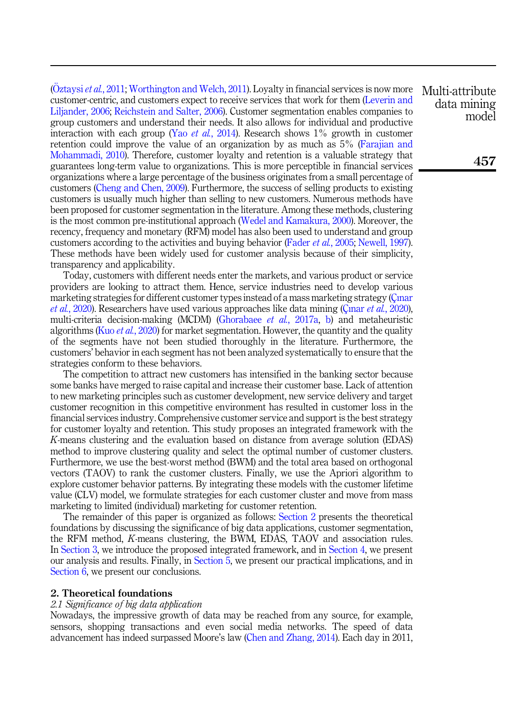(O[ztaysi](#page-37-0) *et al.*, 2011; [Worthington and Welch, 2011\)](#page-38-0). Loyalty in financial services is now more customer-centric, and customers expect to receive services that work for them [\(Leverin and](#page-36-0) [Liljander, 2006;](#page-36-0) [Reichstein and Salter, 2006\)](#page-37-1). Customer segmentation enables companies to group customers and understand their needs. It also allows for individual and productive interaction with each group (Yao et al.[, 2014](#page-38-1)). Research shows  $1\%$  growth in customer retention could improve the value of an organization by as much as 5% [\(Farajian and](#page-35-0) [Mohammadi, 2010\)](#page-35-0). Therefore, customer loyalty and retention is a valuable strategy that guarantees long-term value to organizations. This is more perceptible in financial services organizations where a large percentage of the business originates from a small percentage of customers ([Cheng and Chen, 2009](#page-34-0)). Furthermore, the success of selling products to existing customers is usually much higher than selling to new customers. Numerous methods have been proposed for customer segmentation in the literature. Among these methods, clustering is the most common pre-institutional approach ([Wedel and Kamakura, 2000\)](#page-38-2). Moreover, the recency, frequency and monetary (RFM) model has also been used to understand and group customers according to the activities and buying behavior (Fader et al.[, 2005;](#page-35-1) [Newell, 1997\)](#page-37-2). These methods have been widely used for customer analysis because of their simplicity, transparency and applicability.

Today, customers with different needs enter the markets, and various product or service providers are looking to attract them. Hence, service industries need to develop various marketing strategies for different customer types instead of a mass marketing strategy (Ci[nar](#page-35-2) et al.[, 2020\)](#page-35-2). Researchers have used various approaches like data mining (Cinar et al., 2020). multi-criteria decision-making (MCDM) [\(Ghorabaee](#page-35-3) et al., 2017a, [b\)](#page-35-4) and metaheuristic algorithms (Kuo et al.[, 2020\)](#page-36-1) for market segmentation. However, the quantity and the quality of the segments have not been studied thoroughly in the literature. Furthermore, the customers' behavior in each segment has not been analyzed systematically to ensure that the strategies conform to these behaviors.

The competition to attract new customers has intensified in the banking sector because some banks have merged to raise capital and increase their customer base. Lack of attention to new marketing principles such as customer development, new service delivery and target customer recognition in this competitive environment has resulted in customer loss in the financial services industry. Comprehensive customer service and support is the best strategy for customer loyalty and retention. This study proposes an integrated framework with the K-means clustering and the evaluation based on distance from average solution (EDAS) method to improve clustering quality and select the optimal number of customer clusters. Furthermore, we use the best-worst method (BWM) and the total area based on orthogonal vectors (TAOV) to rank the customer clusters. Finally, we use the Apriori algorithm to explore customer behavior patterns. By integrating these models with the customer lifetime value (CLV) model, we formulate strategies for each customer cluster and move from mass marketing to limited (individual) marketing for customer retention.

The remainder of this paper is organized as follows: [Section 2](#page-1-0) presents the theoretical foundations by discussing the significance of big data applications, customer segmentation, the RFM method, K-means clustering, the BWM, EDAS, TAOV and association rules. In [Section 3,](#page-21-0) we introduce the proposed integrated framework, and in [Section 4](#page-23-0), we present our analysis and results. Finally, in [Section 5,](#page-26-0) we present our practical implications, and in [Section 6,](#page-33-0) we present our conclusions.

#### <span id="page-1-0"></span>2. Theoretical foundations

## 2.1 Significance of big data application

Nowadays, the impressive growth of data may be reached from any source, for example, sensors, shopping transactions and even social media networks. The speed of data advancement has indeed surpassed Moore's law [\(Chen and Zhang, 2014](#page-34-1)). Each day in 2011,

Multi-attribute data mining model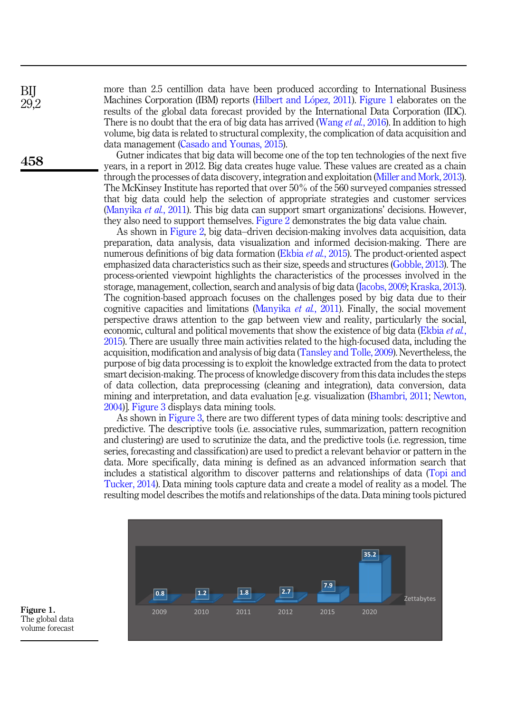more than 2.5 centillion data have been produced according to International Business Machines Corporation (IBM) reports ([Hilbert and L](#page-36-2)ópez, 2011). Figure 1 elaborates on the results of the global data forecast provided by the International Data Corporation (IDC). There is no doubt that the era of big data has arrived [\(Wang](#page-38-3) *et al.*, 2016). In addition to high volume, big data is related to structural complexity, the complication of data acquisition and data management [\(Casado and Younas, 2015](#page-34-2)).

Gutner indicates that big data will become one of the top ten technologies of the next five years, in a report in 2012. Big data creates huge value. These values are created as a chain through the processes of data discovery, integration and exploitation [\(Miller and Mork, 2013\)](#page-37-3). The McKinsey Institute has reported that over 50% of the 560 surveyed companies stressed that big data could help the selection of appropriate strategies and customer services ([Manyika](#page-37-4) et al., 2011). This big data can support smart organizations' decisions. However, they also need to support themselves. [Figure 2](#page-3-0) demonstrates the big data value chain.

As shown in [Figure 2,](#page-3-0) big data–driven decision-making involves data acquisition, data preparation, data analysis, data visualization and informed decision-making. There are numerous definitions of big data formation [\(Ekbia](#page-35-5) *et al.*, 2015). The product-oriented aspect emphasized data characteristics such as their size, speeds and structures [\(Gobble, 2013\)](#page-35-6). The process-oriented viewpoint highlights the characteristics of the processes involved in the storage, management, collection, search and analysis of big data [\(Jacobs, 2009](#page-36-3); [Kraska, 2013\)](#page-36-4). The cognition-based approach focuses on the challenges posed by big data due to their cognitive capacities and limitations ([Manyika](#page-37-4) *et al.*, 2011). Finally, the social movement perspective draws attention to the gap between view and reality, particularly the social, economic, cultural and political movements that show the existence of big data [\(Ekbia](#page-35-5) *et al.*, [2015\)](#page-35-5). There are usually three main activities related to the high-focused data, including the acquisition, modification and analysis of big data [\(Tansley and Tolle, 2009](#page-38-4)). Nevertheless, the purpose of big data processing is to exploit the knowledge extracted from the data to protect smart decision-making. The process of knowledge discovery from this data includes the steps of data collection, data preprocessing (cleaning and integration), data conversion, data mining and interpretation, and data evaluation [e.g. visualization [\(Bhambri, 2011](#page-34-3); [Newton,](#page-37-5) [2004\)](#page-37-5)]. [Figure 3](#page-3-0) displays data mining tools.

As shown in [Figure 3,](#page-3-0) there are two different types of data mining tools: descriptive and predictive. The descriptive tools (i.e. associative rules, summarization, pattern recognition and clustering) are used to scrutinize the data, and the predictive tools (i.e. regression, time series, forecasting and classification) are used to predict a relevant behavior or pattern in the data. More specifically, data mining is defined as an advanced information search that includes a statistical algorithm to discover patterns and relationships of data [\(Topi and](#page-38-5) [Tucker, 2014\)](#page-38-5). Data mining tools capture data and create a model of reality as a model. The resulting model describes the motifs and relationships of the data. Data mining tools pictured



Figure 1. The global data volume forecast

BIJ 29,2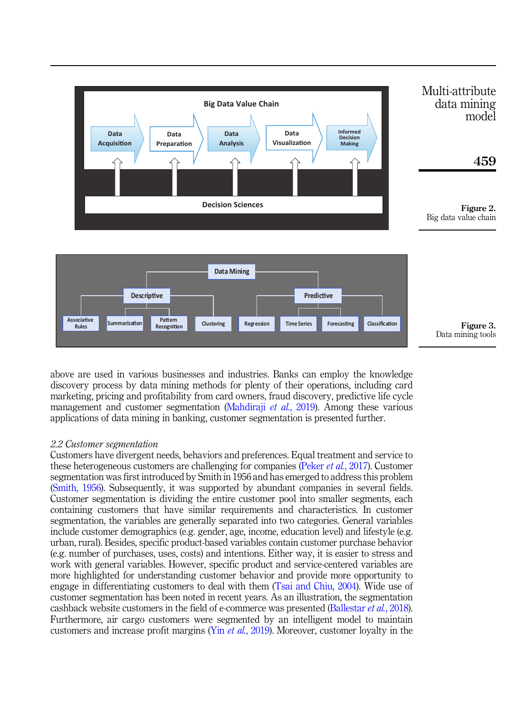<span id="page-3-0"></span>



**Rules Constant Partiase Constant Clustering Regression Time Series Forecasting Classification** 

Pattern **Regression Time Series Forecasting** 

**Classification** 

Figure 3. Data mining tools

# 2.2 Customer segmentation

**sociative Summarization** 

**Associative** 

**Summarization** Recognition

Customers have divergent needs, behaviors and preferences. Equal treatment and service to these heterogeneous customers are challenging for companies (Peker et al.[, 2017\)](#page-37-6). Customer segmentation was first introduced by Smith in 1956 and has emerged to address this problem ([Smith, 1956](#page-38-6)). Subsequently, it was supported by abundant companies in several fields. Customer segmentation is dividing the entire customer pool into smaller segments, each containing customers that have similar requirements and characteristics. In customer segmentation, the variables are generally separated into two categories. General variables include customer demographics (e.g. gender, age, income, education level) and lifestyle (e.g. urban, rural). Besides, specific product-based variables contain customer purchase behavior (e.g. number of purchases, uses, costs) and intentions. Either way, it is easier to stress and work with general variables. However, specific product and service-centered variables are more highlighted for understanding customer behavior and provide more opportunity to engage in differentiating customers to deal with them [\(Tsai and Chiu, 2004](#page-38-7)). Wide use of customer segmentation has been noted in recent years. As an illustration, the segmentation cashback website customers in the field of e-commerce was presented [\(Ballestar](#page-34-4) et al., 2018). Furthermore, air cargo customers were segmented by an intelligent model to maintain customers and increase profit margins (Yin *et al.*[, 2019](#page-38-8)). Moreover, customer loyalty in the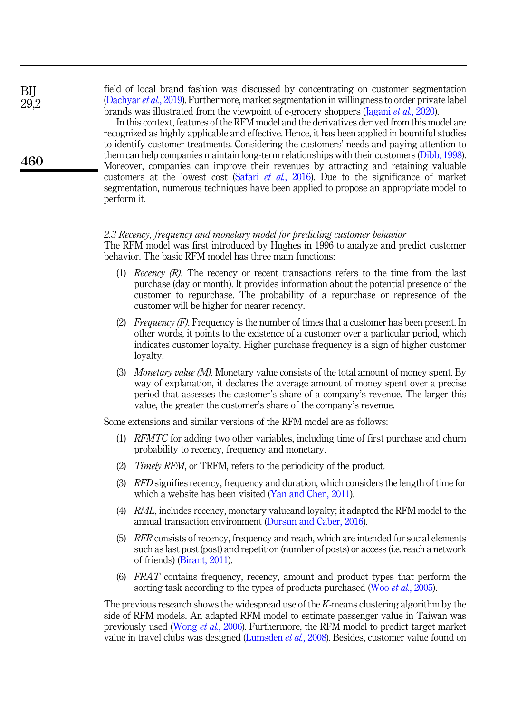field of local brand fashion was discussed by concentrating on customer segmentation ([Dachyar](#page-35-7) et al., 2019). Furthermore, market segmentation in willingness to order private label brands was illustrated from the viewpoint of e-grocery shoppers ([Jagani](#page-36-6) *et al.*, 2020).

In this context, features of the RFM model and the derivatives derived from this model are recognized as highly applicable and effective. Hence, it has been applied in bountiful studies to identify customer treatments. Considering the customers' needs and paying attention to them can help companies maintain long-term relationships with their customers ([Dibb, 1998\)](#page-35-8). Moreover, companies can improve their revenues by attracting and retaining valuable customers at the lowest cost (Safari et al.[, 2016\)](#page-37-7). Due to the significance of market segmentation, numerous techniques have been applied to propose an appropriate model to perform it.

#### 2.3 Recency, frequency and monetary model for predicting customer behavior

The RFM model was first introduced by Hughes in 1996 to analyze and predict customer behavior. The basic RFM model has three main functions:

- (1) Recency  $(R)$ . The recency or recent transactions refers to the time from the last purchase (day or month). It provides information about the potential presence of the customer to repurchase. The probability of a repurchase or represence of the customer will be higher for nearer recency.
- (2) *Frequency (F)*. Frequency is the number of times that a customer has been present. In other words, it points to the existence of a customer over a particular period, which indicates customer loyalty. Higher purchase frequency is a sign of higher customer loyalty.
- (3) Monetary value (M). Monetary value consists of the total amount of money spent. By way of explanation, it declares the average amount of money spent over a precise period that assesses the customer's share of a company's revenue. The larger this value, the greater the customer's share of the company's revenue.

Some extensions and similar versions of the RFM model are as follows:

- (1) RFMTC for adding two other variables, including time of first purchase and churn probability to recency, frequency and monetary.
- (2) Timely RFM, or TRFM, refers to the periodicity of the product.
- (3) RFD signifies recency, frequency and duration, which considers the length of time for which a website has been visited [\(Yan and Chen, 2011](#page-38-9)).
- (4) RML, includes recency, monetary valueand loyalty; it adapted the RFM model to the annual transaction environment ([Dursun and Caber, 2016\)](#page-35-9).
- (5) RFR consists of recency, frequency and reach, which are intended for social elements such as last post (post) and repetition (number of posts) or access (i.e. reach a network of friends) ([Birant, 2011\)](#page-34-5).
- (6) FRAT contains frequency, recency, amount and product types that perform the sorting task according to the types of products purchased (Woo et al.[, 2005](#page-38-10)).

The previous research shows the widespread use of the K-means clustering algorithm by the side of RFM models. An adapted RFM model to estimate passenger value in Taiwan was previously used [\(Wong](#page-38-11) et al., 2006). Furthermore, the RFM model to predict target market value in travel clubs was designed ([Lumsden](#page-36-7) et al., 2008). Besides, customer value found on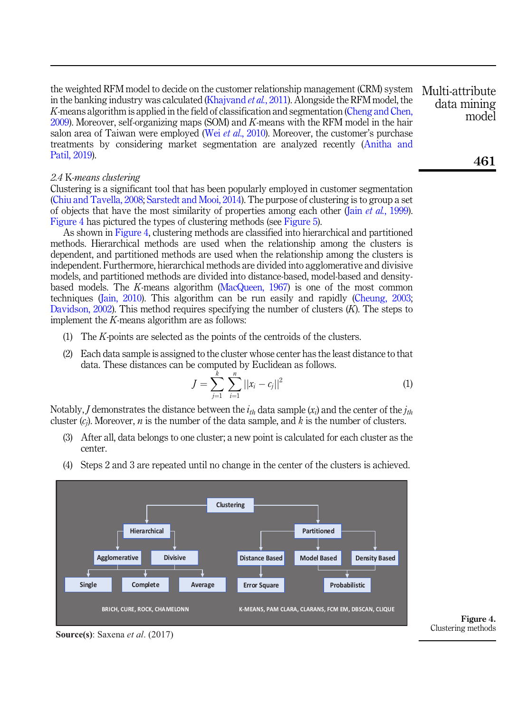<span id="page-5-0"></span>the weighted RFM model to decide on the customer relationship management (CRM) system in the banking industry was calculated ([Khajvand](#page-36-8) *et al.*, 2011). Alongside the RFM model, the K-means algorithm is applied in the field of classification and segmentation [\(Cheng and Chen,](#page-34-0) [2009\)](#page-34-0). Moreover, self-organizing maps (SOM) and K-means with the RFM model in the hair salon area of Taiwan were employed (Wei et al.,  $2010$ ). Moreover, the customer's purchase treatments by considering market segmentation are analyzed recently [\(Anitha and](#page-34-6) [Patil, 2019\)](#page-34-6). Multi-attribute

## 2.4 K-means clustering

Clustering is a significant tool that has been popularly employed in customer segmentation ([Chiu and Tavella, 2008;](#page-35-10) [Sarstedt and Mooi, 2014](#page-37-8)). The purpose of clustering is to group a set of objects that have the most similarity of properties among each other (Jain *et al.*[, 1999\)](#page-36-9). Figure 4 has pictured the types of clustering methods (see [Figure 5](#page-6-0)).

As shown in Figure 4, clustering methods are classified into hierarchical and partitioned methods. Hierarchical methods are used when the relationship among the clusters is dependent, and partitioned methods are used when the relationship among the clusters is independent. Furthermore, hierarchical methods are divided into agglomerative and divisive models, and partitioned methods are divided into distance-based, model-based and densitybased models. The K-means algorithm [\(MacQueen, 1967\)](#page-36-10) is one of the most common techniques [\(Jain, 2010](#page-36-11)). This algorithm can be run easily and rapidly ([Cheung, 2003](#page-34-7); [Davidson, 2002\)](#page-35-11). This method requires specifying the number of clusters  $(K)$ . The steps to implement the K-means algorithm are as follows:

- (1) The K-points are selected as the points of the centroids of the clusters.
- (2) Each data sample is assigned to the cluster whose center has the least distance to that data. These distances can be computed by Euclidean as follows.

$$
J = \sum_{j=1}^{k} \sum_{i=1}^{n} ||x_i - c_j||^2
$$
 (1)

Notably, *J* demonstrates the distance between the  $i_{th}$  data sample  $(x_i)$  and the center of the  $j_{th}$ cluster  $(c_i)$ . Moreover, *n* is the number of the data sample, and *k* is the number of clusters.

- (3) After all, data belongs to one cluster; a new point is calculated for each cluster as the center.
- (4) Steps 2 and 3 are repeated until no change in the center of the clusters is achieved.



**Source(s)**: Saxena *et al*. (2017)

Figure 4. Clustering methods

data mining model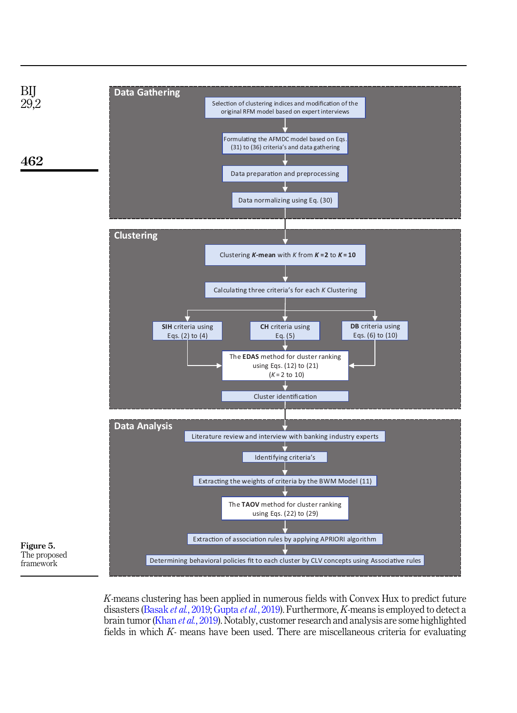<span id="page-6-0"></span>

K-means clustering has been applied in numerous fields with Convex Hux to predict future disasters [\(Basak](#page-34-8) et al., 2019; [Gupta](#page-35-12) et al., 2019). Furthermore, K-means is employed to detect a brain tumor (Khan et al.[, 2019](#page-36-12)). Notably, customer research and analysis are some highlighted fields in which K- means have been used. There are miscellaneous criteria for evaluating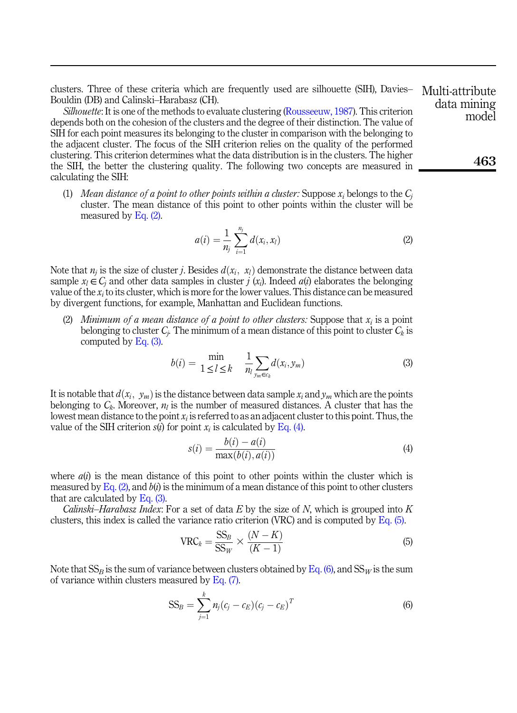clusters. Three of these criteria which are frequently used are silhouette (SIH), Davies– Bouldin (DB) and Calinski–Harabasz (CH).

Silhouette: It is one of the methods to evaluate clustering ([Rousseeuw, 1987\)](#page-37-9). This criterion depends both on the cohesion of the clusters and the degree of their distinction. The value of SIH for each point measures its belonging to the cluster in comparison with the belonging to the adjacent cluster. The focus of the SIH criterion relies on the quality of the performed clustering. This criterion determines what the data distribution is in the clusters. The higher the SIH, the better the clustering quality. The following two concepts are measured in calculating the SIH:

<span id="page-7-0"></span>(1) Mean distance of a point to other points within a cluster: Suppose  $x_i$  belongs to the  $C_i$ cluster. The mean distance of this point to other points within the cluster will be measured by [Eq. \(2\)](#page-7-0).

$$
a(i) = \frac{1}{n_j} \sum_{i=1}^{n_j} d(x_i, x_i)
$$
 (2)

Note that  $n_i$  is the size of cluster j. Besides  $d(x_i, x_i)$  demonstrate the distance between data sample  $x_l \in C_i$  and other data samples in cluster j  $(x_i)$ . Indeed  $a(i)$  elaborates the belonging value of the  $x_i$  to its cluster, which is more for the lower values. This distance can be measured by divergent functions, for example, Manhattan and Euclidean functions.

<span id="page-7-1"></span>(2) Minimum of a mean distance of a point to other clusters: Suppose that  $x_i$  is a point belonging to cluster  $C_i$ . The minimum of a mean distance of this point to cluster  $C_k$  is computed by [Eq. \(3\).](#page-7-1)

$$
b(i) = \min_{1 \leq l \leq k} \quad \frac{1}{n_l} \sum_{y_m \in c_k} d(x_i, y_m) \tag{3}
$$

<span id="page-7-2"></span>It is notable that  $d(x_i, y_m)$  is the distance between data sample  $x_i$  and  $y_m$  which are the points belonging to  $C_k$ . Moreover,  $n_l$  is the number of measured distances. A cluster that has the lowest mean distance to the point  $x_i$  is referred to as an adjacent cluster to this point. Thus, the value of the SIH criterion  $s(i)$  for point  $x_i$  is calculated by [Eq. \(4\)](#page-7-2).

$$
s(i) = \frac{b(i) - a(i)}{\max(b(i), a(i))}
$$
(4)

where  $a(t)$  is the mean distance of this point to other points within the cluster which is measured by Eq.  $(2)$ , and  $b(i)$  is the minimum of a mean distance of this point to other clusters that are calculated by  $Eq. (3)$ .

<span id="page-7-3"></span>*Calinski–Harabasz Index:* For a set of data  $E$  by the size of  $N$ , which is grouped into  $K$ clusters, this index is called the variance ratio criterion (VRC) and is computed by [Eq. \(5\).](#page-7-3)

$$
VRC_k = \frac{SS_B}{SS_W} \times \frac{(N-K)}{(K-1)}
$$
(5)

<span id="page-7-5"></span><span id="page-7-4"></span>Note that  $SS_B$  is the sum of variance between clusters obtained by [Eq. \(6\)](#page-7-4), and  $SS_W$  is the sum of variance within clusters measured by Eq.  $(7)$ .

$$
SS_B = \sum_{j=1}^{k} n_j (c_j - c_E) (c_j - c_E)^T
$$
\n(6)

Multi-attribute data mining model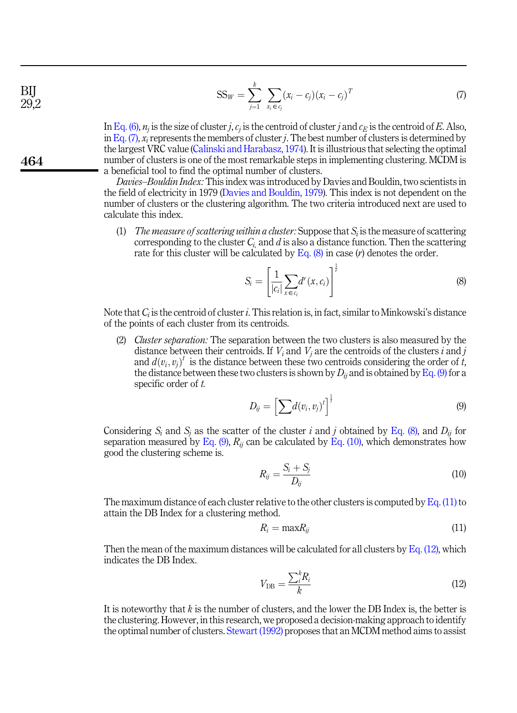$$
SS_W = \sum_{j=1}^k \sum_{x_i \in c_j} (x_i - c_j)(x_i - c_j)^T
$$
 (7)

In [Eq. \(6\)](#page-7-4),  $n_i$  is the size of cluster j,  $c_i$  is the centroid of cluster j and  $c_E$  is the centroid of E. Also, in [Eq. \(7\),](#page-7-5)  $x_i$  represents the members of cluster j. The best number of clusters is determined by the largest VRC value [\(Calinski and Harabasz, 1974\)](#page-34-9). It is illustrious that selecting the optimal number of clusters is one of the most remarkable steps in implementing clustering. MCDM is a beneficial tool to find the optimal number of clusters.

Davies–Bouldin Index: This index was introduced by Davies and Bouldin, two scientists in the field of electricity in 1979 [\(Davies and Bouldin, 1979](#page-35-13)). This index is not dependent on the number of clusters or the clustering algorithm. The two criteria introduced next are used to calculate this index.

<span id="page-8-0"></span>(1) The measure of scattering within a cluster: Suppose that  $S_i$  is the measure of scattering corresponding to the cluster  $C_i$ , and d is also a distance function. Then the scattering rate for this cluster will be calculated by Eq.  $(8)$  in case  $(r)$  denotes the order.

$$
S_i = \left[\frac{1}{|c_i|} \sum_{x \in c_i} d^r(x, c_i)\right]^{\frac{1}{r}}
$$
\n(8)

Note that  $C_i$  is the centroid of cluster i. This relation is, in fact, similar to Minkowski's distance of the points of each cluster from its centroids.

<span id="page-8-1"></span>(2) Cluster separation: The separation between the two clusters is also measured by the distance between their centroids. If  $V_i$  and  $V_j$  are the centroids of the clusters i and j and  $d(v_i, v_j)^t$  is the distance between these two centroids considering the order of t, the distance between these two clusters is shown by  $D_{ii}$  and is obtained by [Eq. \(9\)](#page-8-1) for a specific order of t.

$$
D_{ij} = \left[\sum d(v_i, v_j)^t\right]^{\frac{1}{t}}
$$
\n(9)

<span id="page-8-2"></span>Considering  $S_i$  and  $S_j$  as the scatter of the cluster i and j obtained by [Eq. \(8\)](#page-8-0), and  $D_{ij}$  for separation measured by Eq.  $(9)$ ,  $R_{ij}$  can be calculated by Eq.  $(10)$ , which demonstrates how good the clustering scheme is.

$$
R_{ij} = \frac{S_i + S_j}{D_{ij}}\tag{10}
$$

<span id="page-8-3"></span>The maximum distance of each cluster relative to the other clusters is computed by [Eq. \(11\)](#page-8-3) to attain the DB Index for a clustering method.

$$
R_i = \max R_{ij} \tag{11}
$$

<span id="page-8-4"></span>Then the mean of the maximum distances will be calculated for all clusters by Eq.  $(12)$ , which indicates the DB Index.

$$
V_{\rm DB} = \frac{\sum_{i}^{k} R_i}{k} \tag{12}
$$

It is noteworthy that  $k$  is the number of clusters, and the lower the DB Index is, the better is the clustering. However, in this research, we proposed a decision-making approach to identify the optimal number of clusters. [Stewart \(1992\)](#page-38-13) proposes that an MCDM method aims to assist

464

BIJ 29,2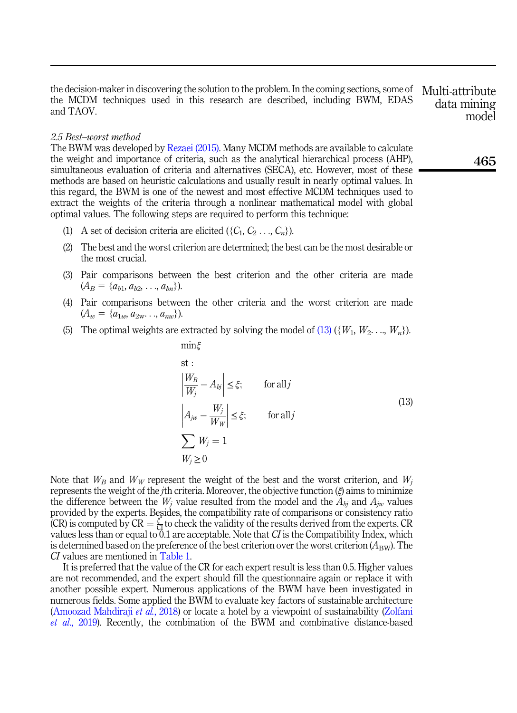the decision-maker in discovering the solution to the problem. In the coming sections, some of the MCDM techniques used in this research are described, including BWM, EDAS and TAOV. Multi-attribute

#### 2.5 Best–worst method

The BWM was developed by [Rezaei \(2015\).](#page-37-10) Many MCDM methods are available to calculate the weight and importance of criteria, such as the analytical hierarchical process (AHP), simultaneous evaluation of criteria and alternatives (SECA), etc. However, most of these methods are based on heuristic calculations and usually result in nearly optimal values. In this regard, the BWM is one of the newest and most effective MCDM techniques used to extract the weights of the criteria through a nonlinear mathematical model with global optimal values. The following steps are required to perform this technique:

- (1) A set of decision criteria are elicited  $({C_1, C_2 ..., C_n})$ .
- (2) The best and the worst criterion are determined; the best can be the most desirable or the most crucial.
- (3) Pair comparisons between the best criterion and the other criteria are made  $(A_B = \{a_{b1}, a_{b2}, \ldots, a_{bn}\}).$
- (4) Pair comparisons between the other criteria and the worst criterion are made  $(A_w = \{a_{1w}, a_{2w}, \ldots, a_{nw}\}).$
- <span id="page-9-0"></span>(5) The optimal weights are extracted by solving the model of [\(13\)](#page-9-0) ({ $W_1, W_2, ..., W_n$ }).

minξ

st:  
\n
$$
\left| \frac{W_B}{W_j} - A_{bj} \right| \leq \xi; \quad \text{for all } j
$$
\n
$$
\left| A_{jw} - \frac{W_j}{W_W} \right| \leq \xi; \quad \text{for all } j
$$
\n
$$
\sum_{W_j \geq 0} W_j = 1
$$
\n(13)

Note that  $W_B$  and  $W_W$  represent the weight of the best and the worst criterion, and  $W_i$ represents the weight of the *j*th criteria. Moreover, the objective function  $(\xi)$  aims to minimize the difference between the  $W_j$  value resulted from the model and the  $A_{bi}$  and  $A_{iw}$  values provided by the experts. Besides, the compatibility rate of comparisons or consistency ratio (CR) is computed by  $CR = \frac{\xi^*}{C\lambda}$  to check the validity of the results derived from the experts. CR values less than or equal to  $\overline{0.1}$  are acceptable. Note that CI is the Compatibility Index, which is determined based on the preference of the best criterion over the worst criterion  $(A_{BW})$ . The CI values are mentioned in [Table 1](#page-10-0).

It is preferred that the value of the CR for each expert result is less than 0.5. Higher values are not recommended, and the expert should fill the questionnaire again or replace it with another possible expert. Numerous applications of the BWM have been investigated in numerous fields. Some applied the BWM to evaluate key factors of sustainable architecture ([Amoozad Mahdiraji](#page-34-10) et al., 2018) or locate a hotel by a viewpoint of sustainability [\(Zolfani](#page-39-0) et al[., 2019\)](#page-39-0). Recently, the combination of the BWM and combinative distance-based data mining model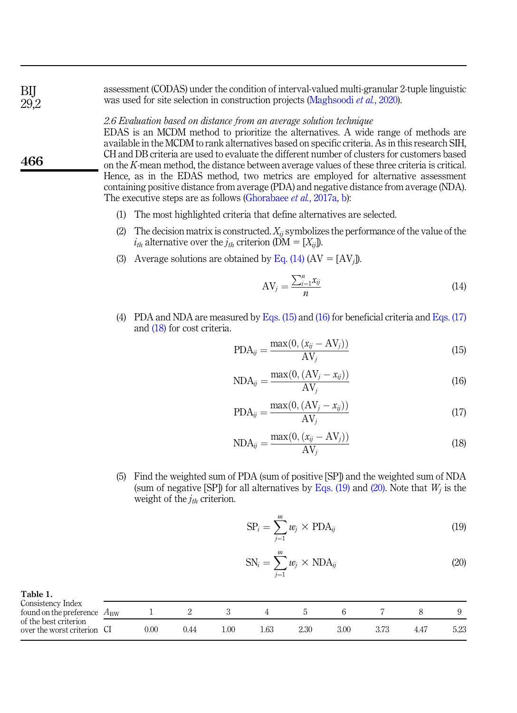assessment (CODAS) under the condition of interval-valued multi-granular 2-tuple linguistic was used for site selection in construction projects [\(Maghsoodi](#page-36-13) *et al.*, 2020).

## 2.6 Evaluation based on distance from an average solution technique

EDAS is an MCDM method to prioritize the alternatives. A wide range of methods are available in the MCDM to rank alternatives based on specific criteria. As in this research SIH, CH and DB criteria are used to evaluate the different number of clusters for customers based on the K-mean method, the distance between average values of these three criteria is critical. Hence, as in the EDAS method, two metrics are employed for alternative assessment containing positive distance from average (PDA) and negative distance from average (NDA). The executive steps are as follows ([Ghorabaee](#page-35-3) *et al.*, 2017a, [b\)](#page-35-4):

- (1) The most highlighted criteria that define alternatives are selected.
- (2) The decision matrix is constructed.  $X_{ii}$  symbolizes the performance of the value of the  $i_{th}$  alternative over the  $j_{th}$  criterion (DM = [ $X_{ij}$ ]).
- <span id="page-10-1"></span>(3) Average solutions are obtained by [Eq. \(14\)](#page-10-1)  $(AV = [AV_j])$ .

$$
AV_j = \frac{\sum_{i=1}^n x_{ij}}{n}
$$
 (14)

<span id="page-10-3"></span><span id="page-10-2"></span>(4) PDA and NDA are measured by [Eqs. \(15\)](#page-10-2) and [\(16\)](#page-10-3) for beneficial criteria and [Eqs. \(17\)](#page-10-4) and [\(18\)](#page-10-5) for cost criteria.

$$
PDA_{ij} = \frac{\max(0, (x_{ij} - AV_j))}{AV_j}
$$
\n(15)

$$
NDA_{ij} = \frac{\max(0, (AV_j - x_{ij}))}{AV_j}
$$
\n(16)

$$
PDA_{ij} = \frac{\max(0, (AV_j - x_{ij}))}{AV_j}
$$
\n(17)

$$
NDA_{ij} = \frac{\max(0, (x_{ij} - AV_j))}{AV_j}
$$
\n(18)

<span id="page-10-7"></span><span id="page-10-6"></span><span id="page-10-5"></span><span id="page-10-4"></span>(5) Find the weighted sum of PDA (sum of positive [SP]) and the weighted sum of NDA (sum of negative [SP]) for all alternatives by [Eqs. \(19\)](#page-10-6) and [\(20\)](#page-10-7). Note that  $W_i$  is the weight of the  $j_{th}$  criterion.

$$
SP_i = \sum_{j=1}^{m} w_j \times PDA_{ij}
$$
 (19)

$$
SN_i = \sum_{j=1}^{m} w_j \times NDA_{ij}
$$
 (20)

| rabitr.                                              |                 |      |      |     |      |      |      |  |      |
|------------------------------------------------------|-----------------|------|------|-----|------|------|------|--|------|
| Consistency Index<br>found on the preference         | $A_{\text{RW}}$ |      |      |     |      |      |      |  |      |
| of the best criterion<br>over the worst criterion CI |                 | 0.00 | J.44 | .00 | . 63 | 2.30 | 3.00 |  | 5.23 |

466

<span id="page-10-0"></span>BIJ 29,2

 $T_2$  $h1_2$ . 1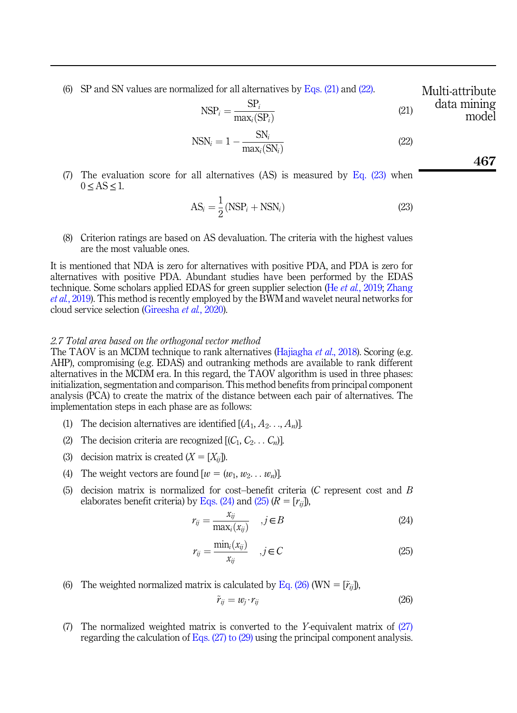<span id="page-11-0"></span>(6) SP and SN values are normalized for all alternatives by Eqs.  $(21)$  and  $(22)$ .

 $NSP_i = \frac{SP_i}{\max_i(SP_i)}$  (21) data mining model

$$
NSN_i = 1 - \frac{SN_i}{max_i(SN_i)}
$$
\n(22)

<span id="page-11-2"></span><span id="page-11-1"></span>(7) The evaluation score for all alternatives (AS) is measured by Eq.  $(23)$  when  $0 < AS < 1$ .

$$
AS_i = \frac{1}{2}(NSP_i + NSN_i)
$$
\n(23)

(8) Criterion ratings are based on AS devaluation. The criteria with the highest values are the most valuable ones.

It is mentioned that NDA is zero for alternatives with positive PDA, and PDA is zero for alternatives with positive PDA. Abundant studies have been performed by the EDAS technique. Some scholars applied EDAS for green supplier selection (He et al.[, 2019;](#page-36-14) [Zhang](#page-39-1) et al.[, 2019\)](#page-39-1). This method is recently employed by the BWM and wavelet neural networks for cloud service selection ([Gireesha](#page-35-14) et al., 2020).

## 2.7 Total area based on the orthogonal vector method

The TAOV is an MCDM technique to rank alternatives (Hajjagha *et al.*, 2018). Scoring (e.g. AHP), compromising (e.g. EDAS) and outranking methods are available to rank different alternatives in the MCDM era. In this regard, the TAOV algorithm is used in three phases: initialization, segmentation and comparison. This method benefits from principal component analysis (PCA) to create the matrix of the distance between each pair of alternatives. The implementation steps in each phase are as follows:

- (1) The decision alternatives are identified  $[(A_1, A_2, \ldots, A_n)]$ .
- (2) The decision criteria are recognized  $[(C_1, C_2, \ldots, C_n)]$ .
- (3) decision matrix is created  $(X = [X_{ii}])$ .
- (4) The weight vectors are found  $[w = (w_1, w_2, \ldots, w_n)]$ .
- <span id="page-11-3"></span>(5) decision matrix is normalized for cost–benefit criteria (C represent cost and B elaborates benefit criteria) by [Eqs. \(24\)](#page-11-3) and [\(25\)](#page-11-4)  $(R = [r_{ii}])$ ,

$$
r_{ij} = \frac{x_{ij}}{\max_i(x_{ij})}, \quad j \in B
$$
\n(24)

$$
r_{ij} = \frac{\min_i(x_{ij})}{x_{ij}} \quad , j \in C \tag{25}
$$

<span id="page-11-5"></span><span id="page-11-4"></span>(6) The weighted normalized matrix is calculated by [Eq. \(26\)](#page-11-5) (WN =  $[\tilde{r}_{ii}]$ ),

$$
\tilde{r}_{ij} = w_j \cdot r_{ij} \tag{26}
$$

(7) The normalized weighted matrix is converted to the Y-equivalent matrix of [\(27\)](#page-12-0) regarding the calculation of [Eqs. \(27\) to \(29\)](#page-12-0) using the principal component analysis.

Multi-attribute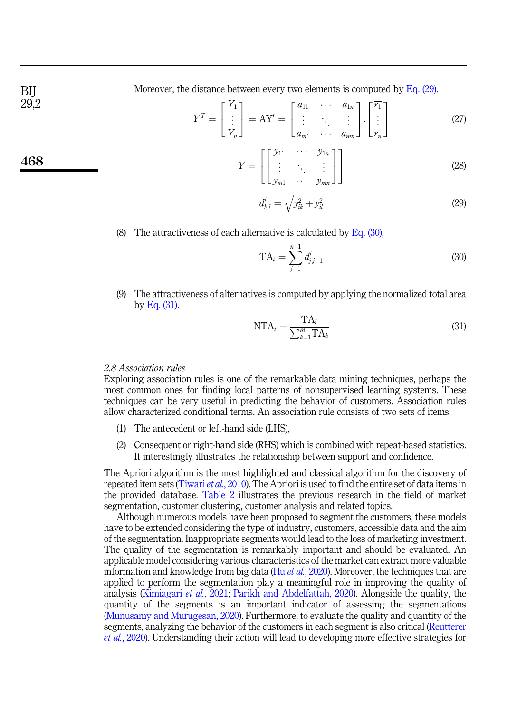<span id="page-12-0"></span>Moreover, the distance between every two elements is computed by  $Eq. (29)$ .

$$
Y^{T} = \begin{bmatrix} Y_{1} \\ \vdots \\ Y_{n} \end{bmatrix} = \mathbf{A} Y^{t} = \begin{bmatrix} a_{11} & \cdots & a_{1n} \\ \vdots & \ddots & \vdots \\ a_{m1} & \cdots & a_{mn} \end{bmatrix} \cdot \begin{bmatrix} \overline{r_{1}} \\ \vdots \\ \overline{r_{n}} \end{bmatrix}
$$
(27)

$$
Y = \begin{bmatrix} \begin{bmatrix} y_{11} & \cdots & y_{1n} \\ \vdots & \ddots & \vdots \\ y_{m1} & \cdots & y_{mn} \end{bmatrix} \end{bmatrix}
$$
 (28)

$$
d_{k,l}^i = \sqrt{y_{ik}^2 + y_{il}^2}
$$
 (29)

<span id="page-12-2"></span><span id="page-12-1"></span>(8) The attractiveness of each alternative is calculated by Eq.  $(30)$ ,

$$
TA_i = \sum_{j=1}^{n-1} d_{j,j+1}^i
$$
 (30)

<span id="page-12-3"></span>(9) The attractiveness of alternatives is computed by applying the normalized total area by [Eq. \(31\)](#page-12-3).

$$
NTA_i = \frac{TA_i}{\sum_{k=1}^{m}TA_k}
$$
\n(31)

# 2.8 Association rules

Exploring association rules is one of the remarkable data mining techniques, perhaps the most common ones for finding local patterns of nonsupervised learning systems. These techniques can be very useful in predicting the behavior of customers. Association rules allow characterized conditional terms. An association rule consists of two sets of items:

- (1) The antecedent or left-hand side (LHS),
- (2) Consequent or right-hand side (RHS) which is combined with repeat-based statistics. It interestingly illustrates the relationship between support and confidence.

The Apriori algorithm is the most highlighted and classical algorithm for the discovery of repeated item sets [\(Tiwari](#page-38-14) et al., 2010). The Apriori is used to find the entire set of data items in the provided database. [Table 2](#page-13-0) illustrates the previous research in the field of market segmentation, customer clustering, customer analysis and related topics.

Although numerous models have been proposed to segment the customers, these models have to be extended considering the type of industry, customers, accessible data and the aim of the segmentation. Inappropriate segments would lead to the loss of marketing investment. The quality of the segmentation is remarkably important and should be evaluated. An applicable model considering various characteristics of the market can extract more valuable information and knowledge from big data (Hu et al.[, 2020\)](#page-36-15). Moreover, the techniques that are applied to perform the segmentation play a meaningful role in improving the quality of analysis [\(Kimiagari](#page-36-16) et al., 2021; [Parikh and Abdelfattah, 2020](#page-37-11)). Alongside the quality, the quantity of the segments is an important indicator of assessing the segmentations ([Munusamy and Murugesan, 2020](#page-37-12)). Furthermore, to evaluate the quality and quantity of the segments, analyzing the behavior of the customers in each segment is also critical ([Reutterer](#page-37-13) et al.[, 2020\)](#page-37-13). Understanding their action will lead to developing more effective strategies for

BIJ 29,2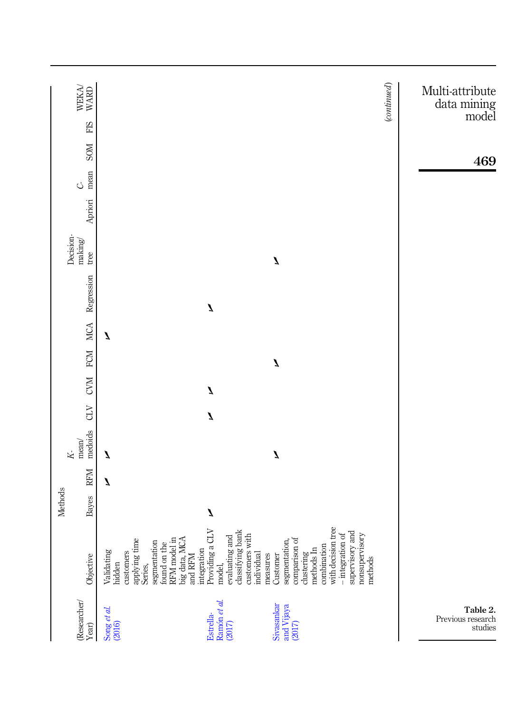<span id="page-13-0"></span>

|                                                                                                   |                                                                                                                                                                                                          | Methods |            | $\overline{K}$              |              |                  |              |   |              | Decision-        |         |                 |             |     |                                                           |
|---------------------------------------------------------------------------------------------------|----------------------------------------------------------------------------------------------------------------------------------------------------------------------------------------------------------|---------|------------|-----------------------------|--------------|------------------|--------------|---|--------------|------------------|---------|-----------------|-------------|-----|-----------------------------------------------------------|
| (Researcher/<br>Year)                                                                             | Objective                                                                                                                                                                                                | Bayes   | <b>RFM</b> | medoids<br>$\mathrm{mean}/$ | CLV          | CVM FCM MCA      |              |   | Regression   | making/<br>tree  | Apriori | mean<br>$\circ$ | <b>NIOS</b> | FIS | $\begin{array}{c} \text{WEXA} \\ \text{WARD} \end{array}$ |
| $\frac{\text{Song }et al.}{(2016)}$                                                               | RFM model in<br>big data, MCA<br>and RFM<br>applying time<br>segmentation<br>found on the<br>Validating<br>customers<br>hidden<br>Series,                                                                |         | Z          | Z                           |              |                  |              | Z |              |                  |         |                 |             |     |                                                           |
| Ramón et al.<br>Estrella-<br>(2017)                                                               | integration<br>Providing a CLV<br>evaluating and<br>classifying bank<br>customers with<br>individual<br>model,                                                                                           | J       |            |                             | $\mathbf{z}$ | $\boldsymbol{I}$ |              |   | $\mathbf{z}$ |                  |         |                 |             |     |                                                           |
| Sivasankar<br>and Vijaya<br>(2017)                                                                | with decision tree<br>— integration of<br>supervisory and<br>nonsupervisory<br>segmentation,<br>comparison of<br>combination<br>$\frac{d}{d}$ dustering $\frac{d}{d}$<br>measures<br>Customer<br>methods |         |            | Z                           |              |                  | $\mathbf{z}$ |   |              | $\boldsymbol{I}$ |         |                 |             |     |                                                           |
|                                                                                                   |                                                                                                                                                                                                          |         |            |                             |              |                  |              |   |              |                  |         |                 |             |     | (continued)                                               |
| Table 2.<br>$\begin{array}{c} \mathrm{Previous}\ \mathrm{research}\ \mathrm{studies} \end{array}$ |                                                                                                                                                                                                          |         |            |                             |              |                  |              |   |              |                  |         |                 | 469         |     | Multi-attribute<br>data mining<br>model                   |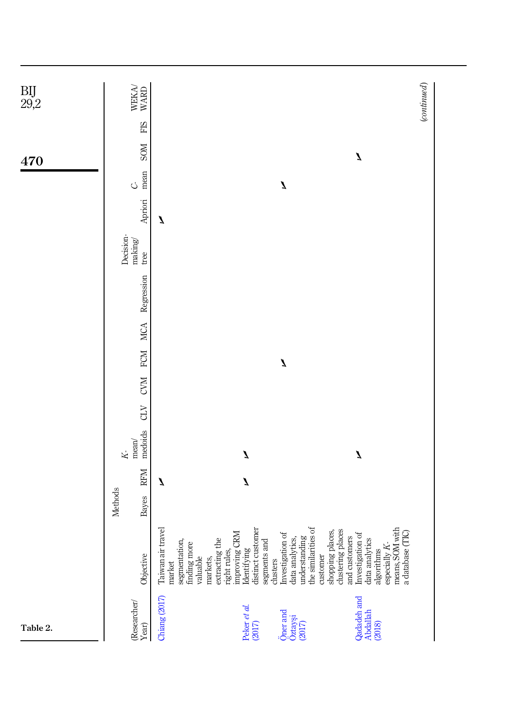| $\underset{29,2}{\text{BIJ}}$ | $\begin{array}{c} \text{WEXA} \\ \text{WARD} \end{array}$              |                                                                                                                                                                                                                                                                                                                                                                                                                                                                             | (continued) |
|-------------------------------|------------------------------------------------------------------------|-----------------------------------------------------------------------------------------------------------------------------------------------------------------------------------------------------------------------------------------------------------------------------------------------------------------------------------------------------------------------------------------------------------------------------------------------------------------------------|-------------|
|                               | FIS                                                                    |                                                                                                                                                                                                                                                                                                                                                                                                                                                                             |             |
| 470                           | <b>NIOS</b>                                                            | $\mathbf{z}$                                                                                                                                                                                                                                                                                                                                                                                                                                                                |             |
|                               | mean<br>$\circ$                                                        | $\boldsymbol{I}$                                                                                                                                                                                                                                                                                                                                                                                                                                                            |             |
|                               | Apriori                                                                | Z                                                                                                                                                                                                                                                                                                                                                                                                                                                                           |             |
|                               | Decision-<br>making/<br>tree                                           |                                                                                                                                                                                                                                                                                                                                                                                                                                                                             |             |
|                               | Regression                                                             |                                                                                                                                                                                                                                                                                                                                                                                                                                                                             |             |
|                               | <b>MCA</b>                                                             |                                                                                                                                                                                                                                                                                                                                                                                                                                                                             |             |
|                               | <b>FCM</b>                                                             | $\mathbf{z}$                                                                                                                                                                                                                                                                                                                                                                                                                                                                |             |
|                               | <b>CVM</b>                                                             |                                                                                                                                                                                                                                                                                                                                                                                                                                                                             |             |
|                               | CLV                                                                    |                                                                                                                                                                                                                                                                                                                                                                                                                                                                             |             |
|                               | medoids<br>$mean/$<br>$\overline{K}$                                   | $\boldsymbol{I}$<br>$\mathbf{z}$                                                                                                                                                                                                                                                                                                                                                                                                                                            |             |
|                               | <b>RFM</b>                                                             | $\mathbf{z}$<br>Z                                                                                                                                                                                                                                                                                                                                                                                                                                                           |             |
|                               | <b>Methods</b><br>Bayes                                                |                                                                                                                                                                                                                                                                                                                                                                                                                                                                             |             |
|                               | Objective                                                              | distinct customer<br>data analytics,<br>understanding<br>the similarities of<br>means, SOM with<br>a database (TIC)<br>Taiwan air travel<br>shopping places,<br>clustering places<br>and customers<br>Investigation of<br>data analytics<br>improving CRM<br>Investigation of<br>segmentation,<br>extracting the<br>segments and<br>clusters<br>finding more<br>especially $K$ -<br>Identifying<br>right rules,<br>algorithms<br>customer<br>valuable<br>markets,<br>market |             |
| Table 2.                      | $\begin{array}{l} \textrm{(Researcher/} \\ \textrm{Year)} \end{array}$ | Chiang (2017)<br>Qadadeh and<br>Peker et al.<br>Öner and<br>Abdallah<br>Öztayşi<br>(2017)<br>(2017)<br>(2018)                                                                                                                                                                                                                                                                                                                                                               |             |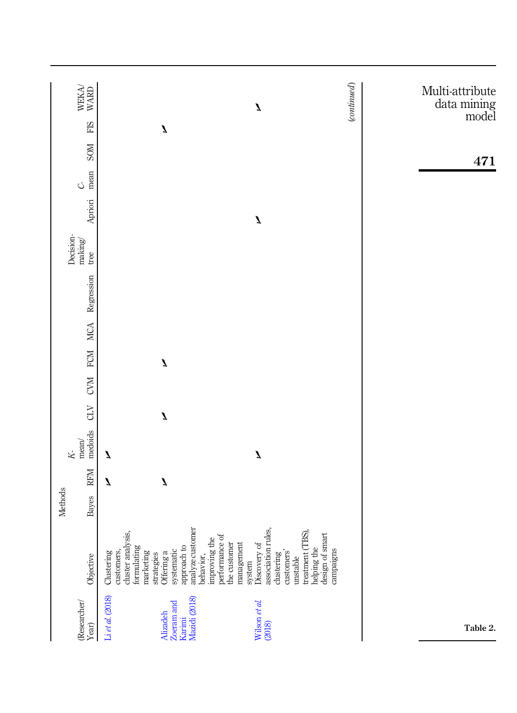| $\begin{array}{c} \text{WEKA} \\ \text{WARD} \end{array}$ | $\mathbf{z}$                                                                                                                                                                                                                                                                                                                                                                                   | (continued)<br>Multi-attribute<br>data mining<br>model |
|-----------------------------------------------------------|------------------------------------------------------------------------------------------------------------------------------------------------------------------------------------------------------------------------------------------------------------------------------------------------------------------------------------------------------------------------------------------------|--------------------------------------------------------|
| FIS                                                       | $\boldsymbol{I}$                                                                                                                                                                                                                                                                                                                                                                               |                                                        |
| <b>NOS</b>                                                |                                                                                                                                                                                                                                                                                                                                                                                                | 471                                                    |
| mean<br>$\mathcal{O}$                                     |                                                                                                                                                                                                                                                                                                                                                                                                |                                                        |
| Apriori                                                   | $\boldsymbol{I}$                                                                                                                                                                                                                                                                                                                                                                               |                                                        |
| Decision-<br>making/<br>tree                              |                                                                                                                                                                                                                                                                                                                                                                                                |                                                        |
| Regression                                                |                                                                                                                                                                                                                                                                                                                                                                                                |                                                        |
|                                                           |                                                                                                                                                                                                                                                                                                                                                                                                |                                                        |
| CVM FCM MCA                                               | $\boldsymbol{I}$                                                                                                                                                                                                                                                                                                                                                                               |                                                        |
|                                                           |                                                                                                                                                                                                                                                                                                                                                                                                |                                                        |
| CLV                                                       | $\mathbf{z}$                                                                                                                                                                                                                                                                                                                                                                                   |                                                        |
| medoids<br>mean/<br>K                                     | $\boldsymbol{I}$<br>Z                                                                                                                                                                                                                                                                                                                                                                          |                                                        |
| <b>RFM</b>                                                | $\boldsymbol{I}$<br>Z                                                                                                                                                                                                                                                                                                                                                                          |                                                        |
| Methods<br>Bayes                                          |                                                                                                                                                                                                                                                                                                                                                                                                |                                                        |
| Objective                                                 | analyze customer<br>association rules,<br>treatment (TBS),<br>cluster analysis,<br>design of smart<br>improving the<br>performance of<br>management<br>the customer<br>Discovery of<br>approach to<br>helping the<br>formulating<br>campaigns<br>systematic<br>customers,<br>Clustering<br>marketing<br>behavior,<br>customers'<br>Offering a<br>dustering<br>strategies<br>unstable<br>system |                                                        |
| (Researcher/<br>Year)                                     | Li et al. (2018)<br>Mazidi (2018)<br>Wilson et al.<br>(2018)<br>Zoeram and<br>Alizadeh<br>Karimi                                                                                                                                                                                                                                                                                               | Table 2.                                               |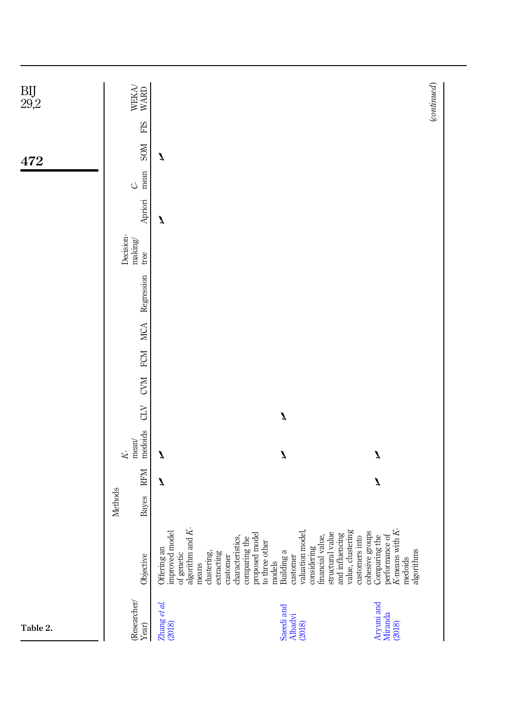| $\underset{29,2}{\text{BIJ}}$ | WEKA<br>WARD                       |                                                                                                                   |                                                                                                                                              | (continued)                                                                                                                                                                                      |
|-------------------------------|------------------------------------|-------------------------------------------------------------------------------------------------------------------|----------------------------------------------------------------------------------------------------------------------------------------------|--------------------------------------------------------------------------------------------------------------------------------------------------------------------------------------------------|
|                               | FIS                                |                                                                                                                   |                                                                                                                                              |                                                                                                                                                                                                  |
| 472                           | <b>NOS</b>                         | Z                                                                                                                 |                                                                                                                                              |                                                                                                                                                                                                  |
|                               | mean<br>C)                         |                                                                                                                   |                                                                                                                                              |                                                                                                                                                                                                  |
|                               | Apriori                            | Z                                                                                                                 |                                                                                                                                              |                                                                                                                                                                                                  |
|                               | Decision-<br>making/<br>true       |                                                                                                                   |                                                                                                                                              |                                                                                                                                                                                                  |
|                               | Regression                         |                                                                                                                   |                                                                                                                                              |                                                                                                                                                                                                  |
|                               | <b>NICA</b>                        |                                                                                                                   |                                                                                                                                              |                                                                                                                                                                                                  |
|                               | <b>FCM</b>                         |                                                                                                                   |                                                                                                                                              |                                                                                                                                                                                                  |
|                               | <b>CVM</b>                         |                                                                                                                   |                                                                                                                                              |                                                                                                                                                                                                  |
|                               | CLV                                |                                                                                                                   | $\mathbf{z}$                                                                                                                                 |                                                                                                                                                                                                  |
|                               | medoids<br>mean/<br>$\overline{K}$ | Z                                                                                                                 | $\mathbf{z}$                                                                                                                                 | $\mathbf{z}$                                                                                                                                                                                     |
|                               | RFM                                | Z                                                                                                                 |                                                                                                                                              | $\boldsymbol{I}$                                                                                                                                                                                 |
|                               | Methods<br>Bayes                   |                                                                                                                   |                                                                                                                                              |                                                                                                                                                                                                  |
|                               | Objective                          | of genetic algorithm and $K$ -<br>improved model<br>Offering an<br>extracting<br>clustering,<br>customer<br>means | valuation model,<br>characteristics,<br>comparing the<br>proposed model<br>to three other<br>considering<br>Building a<br>customer<br>models | financial value,<br>structural value<br>and influencing<br>value, clustering<br>value, clustering<br>clustering the<br>comparing the<br>Comparing the<br>performance of<br>algorithms<br>medoids |
| Table 2.                      | (Researcher/<br>Year)              | $\begin{array}{l} \text{Zhang et al} \\ \text{(2018)} \end{array}$                                                | Saeedi and<br>Albadvi<br>(2018)                                                                                                              | Aryuni and<br>Miranda<br>(2018)                                                                                                                                                                  |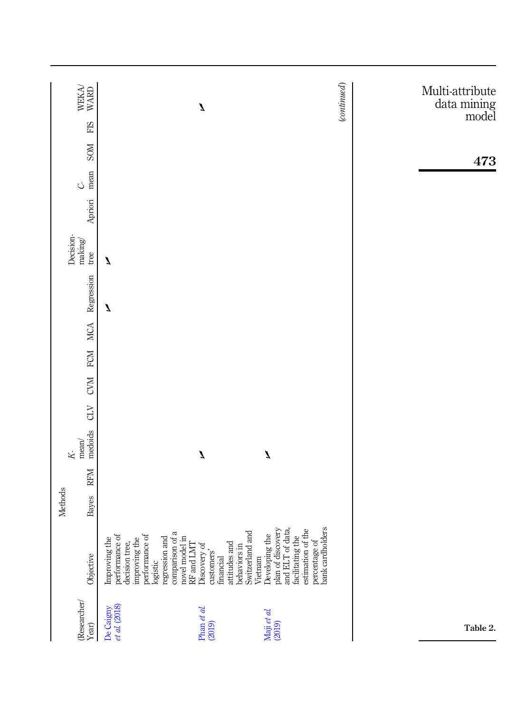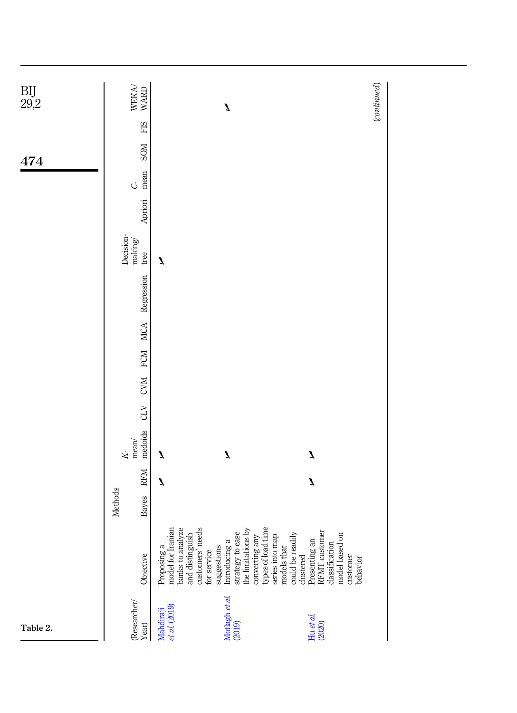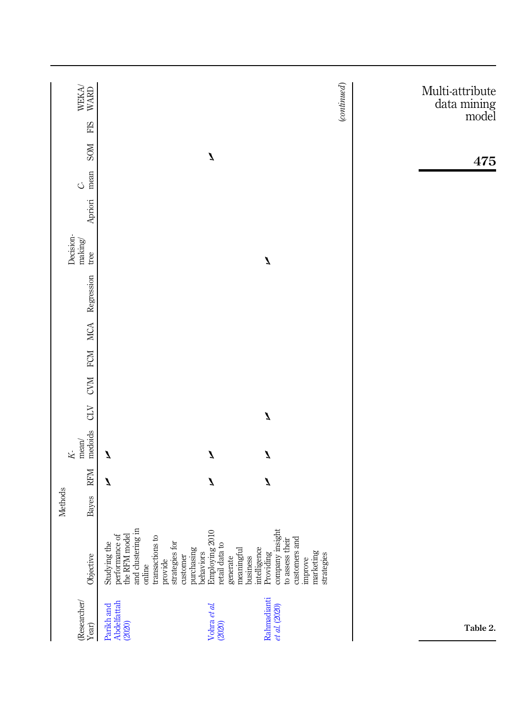|                                                                        |                                                                                                                                    | <b>Methods</b> |                  |                                               |                  |         |            |            |                              |         |                 |                  |     |                                                           |
|------------------------------------------------------------------------|------------------------------------------------------------------------------------------------------------------------------------|----------------|------------------|-----------------------------------------------|------------------|---------|------------|------------|------------------------------|---------|-----------------|------------------|-----|-----------------------------------------------------------|
| $\begin{array}{l} \textrm{(Researcher/} \\ \textrm{Year)} \end{array}$ | Objective                                                                                                                          | Bayes          | <b>RFM</b>       | medoids<br>$\mathrm{mean}/$<br>$\overline{K}$ | CLV              | CVM FCM | <b>MCA</b> | Regression | Decision-<br>making/<br>tree | Apriori | mean<br>$\circ$ | <b>NIOS</b>      | FIS | $\begin{array}{c} \text{WEXA} \\ \text{WARD} \end{array}$ |
| Abdelfattah<br>(2020)<br>Parikh and                                    | performance of<br>the RFM model<br>and clustering in<br>transactions to<br>Studying the<br>strategies for<br>provide<br>online     |                | $\boldsymbol{Z}$ | Z                                             |                  |         |            |            |                              |         |                 |                  |     |                                                           |
| Vohra et al.<br>(2020)                                                 | $\overline{10}$<br>Employing 20<br>retail data to<br>purchasing<br>meaningful<br>behaviors<br>customer<br>generate                 |                | $\mathbf{z}$     | J                                             |                  |         |            |            |                              |         |                 | $\boldsymbol{I}$ |     |                                                           |
| Rahmadianti<br>et al. (2020)                                           | company insight<br>to assess their<br>customers and<br>intelligence<br>marketing<br>Providing<br>strategies<br>business<br>improve |                | $\mathbf{z}$     | J                                             | $\boldsymbol{I}$ |         |            |            | J                            |         |                 |                  |     |                                                           |
|                                                                        |                                                                                                                                    |                |                  |                                               |                  |         |            |            |                              |         |                 |                  |     | (continued)                                               |
|                                                                        |                                                                                                                                    |                |                  |                                               |                  |         |            |            |                              |         |                 |                  |     | Multi-attribute<br>data mining<br>model                   |
| Table 2.                                                               |                                                                                                                                    |                |                  |                                               |                  |         |            |            |                              |         |                 | 475              |     |                                                           |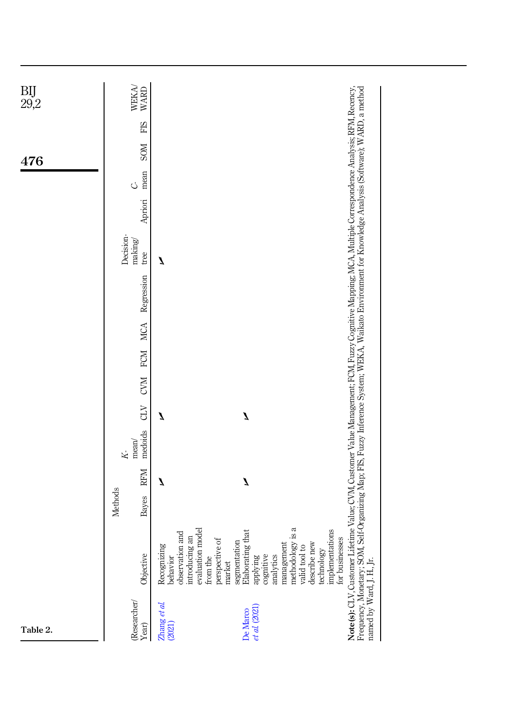| BIJ<br>29,2 | WEKA<br>WARD                         |                                                                                                                                                                                                                                                                                                                          |                                                                                                                                                                                                                                                                                                                      |
|-------------|--------------------------------------|--------------------------------------------------------------------------------------------------------------------------------------------------------------------------------------------------------------------------------------------------------------------------------------------------------------------------|----------------------------------------------------------------------------------------------------------------------------------------------------------------------------------------------------------------------------------------------------------------------------------------------------------------------|
|             | FIS                                  |                                                                                                                                                                                                                                                                                                                          |                                                                                                                                                                                                                                                                                                                      |
| 476         | <b>NOS</b>                           |                                                                                                                                                                                                                                                                                                                          |                                                                                                                                                                                                                                                                                                                      |
|             | mean<br>Ċ,                           |                                                                                                                                                                                                                                                                                                                          |                                                                                                                                                                                                                                                                                                                      |
|             | Apriori                              |                                                                                                                                                                                                                                                                                                                          |                                                                                                                                                                                                                                                                                                                      |
|             | Decision-<br>making/<br>tree         | Z                                                                                                                                                                                                                                                                                                                        |                                                                                                                                                                                                                                                                                                                      |
|             | Regression                           |                                                                                                                                                                                                                                                                                                                          |                                                                                                                                                                                                                                                                                                                      |
|             | <b>MCA</b>                           |                                                                                                                                                                                                                                                                                                                          |                                                                                                                                                                                                                                                                                                                      |
|             | <b>FCM</b>                           |                                                                                                                                                                                                                                                                                                                          |                                                                                                                                                                                                                                                                                                                      |
|             | <b>CVM</b>                           |                                                                                                                                                                                                                                                                                                                          |                                                                                                                                                                                                                                                                                                                      |
|             | CLV                                  | Z<br>J                                                                                                                                                                                                                                                                                                                   |                                                                                                                                                                                                                                                                                                                      |
|             | medoids<br>$mean/$<br>$\overline{K}$ |                                                                                                                                                                                                                                                                                                                          |                                                                                                                                                                                                                                                                                                                      |
|             | <b>RFM</b>                           | Z<br>Z                                                                                                                                                                                                                                                                                                                   |                                                                                                                                                                                                                                                                                                                      |
|             | Methods<br>Bayes                     |                                                                                                                                                                                                                                                                                                                          |                                                                                                                                                                                                                                                                                                                      |
|             | Objective                            | methodology is a<br>evaluation model<br>Elaborating that<br>implementations<br>observation and<br>introducing an<br>for businesses<br>perspective of<br>segmentation<br>describe new<br>management<br>Recognizing<br>valid tool to<br>technology<br>cognitive<br>analytics<br>behavior<br>applying<br>from the<br>market | Note(s): CLV, Customer Lifetime Value; CVM, Customer Value Management; FCM, Fuzzy Cognitive Mapping; MCA, Multiple Correspondence Analysis; RFM, Recency,<br>Frequency, Monetary; SOM, Self-Organizing Map; FIS, Fuzzy Inference System; WEKA, Waikato Environment for Knowledge Analysis (Software); WARD, a method |
| Table 2.    | (Researcher/<br>Year)                | $Z$ hang et al.<br>(2021)<br>et al. (2021)<br>De Marco                                                                                                                                                                                                                                                                   | named by Ward, J. H., Jr.                                                                                                                                                                                                                                                                                            |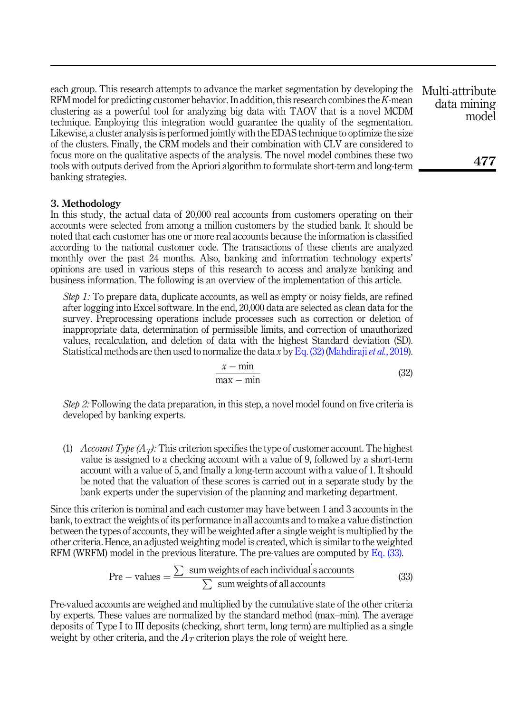each group. This research attempts to advance the market segmentation by developing the RFM model for predicting customer behavior. In addition, this research combines the K-mean clustering as a powerful tool for analyzing big data with TAOV that is a novel MCDM technique. Employing this integration would guarantee the quality of the segmentation. Likewise, a cluster analysis is performed jointly with the EDAS technique to optimize the size of the clusters. Finally, the CRM models and their combination with CLV are considered to focus more on the qualitative aspects of the analysis. The novel model combines these two tools with outputs derived from the Apriori algorithm to formulate short-term and long-term banking strategies.

# <span id="page-21-0"></span>3. Methodology

In this study, the actual data of 20,000 real accounts from customers operating on their accounts were selected from among a million customers by the studied bank. It should be noted that each customer has one or more real accounts because the information is classified according to the national customer code. The transactions of these clients are analyzed monthly over the past 24 months. Also, banking and information technology experts' opinions are used in various steps of this research to access and analyze banking and business information. The following is an overview of the implementation of this article.

<span id="page-21-1"></span>Step 1: To prepare data, duplicate accounts, as well as empty or noisy fields, are refined after logging into Excel software. In the end, 20,000 data are selected as clean data for the survey. Preprocessing operations include processes such as correction or deletion of inappropriate data, determination of permissible limits, and correction of unauthorized values, recalculation, and deletion of data with the highest Standard deviation (SD). Statistical methods are then used to normalize the data x by [Eq. \(32\)](#page-21-1) [\(Mahdiraji](#page-36-5) *et al.*, 2019).

$$
\frac{x - \min}{\max - \min} \tag{32}
$$

Step 2: Following the data preparation, in this step, a novel model found on five criteria is developed by banking experts.

(1) Account Type  $(A_T)$ : This criterion specifies the type of customer account. The highest value is assigned to a checking account with a value of 9, followed by a short-term account with a value of 5, and finally a long-term account with a value of 1. It should be noted that the valuation of these scores is carried out in a separate study by the bank experts under the supervision of the planning and marketing department.

<span id="page-21-2"></span>Since this criterion is nominal and each customer may have between 1 and 3 accounts in the bank, to extract the weights of its performance in all accounts and to make a value distinction between the types of accounts, they will be weighted after a single weight is multiplied by the other criteria. Hence, an adjusted weighting model is created, which is similar to the weighted RFM (WRFM) model in the previous literature. The pre-values are computed by [Eq. \(33\)](#page-21-2).

$$
Pre - values = \frac{\sum \text{ sum weights of each individual's accounts}}{\sum \text{ sum weights of all accounts}}
$$
(33)

Pre-valued accounts are weighed and multiplied by the cumulative state of the other criteria by experts. These values are normalized by the standard method (max–min). The average deposits of Type I to III deposits (checking, short term, long term) are multiplied as a single weight by other criteria, and the  $A<sub>T</sub>$  criterion plays the role of weight here.

Multi-attribute data mining model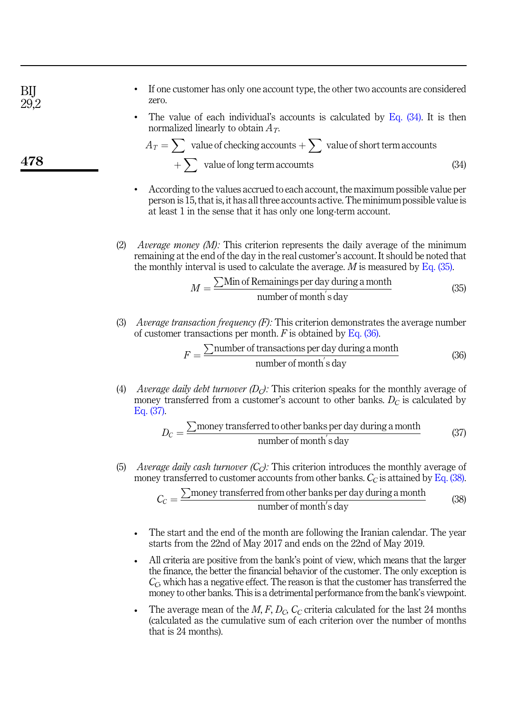<span id="page-22-4"></span><span id="page-22-3"></span><span id="page-22-2"></span><span id="page-22-1"></span><span id="page-22-0"></span>• If one customer has only one account type, the other two accounts are considered zero. The value of each individual's accounts is calculated by Eq.  $(34)$ . It is then normalized linearly to obtain  $A_T$ .  $A_T = \sum$  value of checking accounts  $+ \sum$  value of short term accounts  $+\sum$  value of long term accoumts (34) • According to the values accrued to each account, the maximum possible value per person is 15, that is, it has all three accounts active. The minimum possible value is at least 1 in the sense that it has only one long-term account. (2) Average money (M): This criterion represents the daily average of the minimum remaining at the end of the day in the real customer's account. It should be noted that the monthly interval is used to calculate the average.  $M$  is measured by [Eq. \(35\).](#page-22-1)  $M = \frac{\sum \text{Min of Remainings per day during a month}}{\text{number of month/s day}}$  $\frac{5 \times 100 \text{ m}}{200 \text{ m}}$  (35)<br>number of month<sup>1</sup>s day (35) (3) Average transaction frequency  $(F)$ : This criterion demonstrates the average number of customer transactions per month.  $F$  is obtained by [Eq. \(36\)](#page-22-2).  $F = \frac{\sum$ number of transactions per day during a month  $\frac{\text{number of each of a image of a image}}{\text{number of month}^\prime}$  (36) (4) Average daily debt turnover  $(D<sub>C</sub>)$ : This criterion speaks for the monthly average of money transferred from a customer's account to other banks.  $D_C$  is calculated by [Eq. \(37\).](#page-22-3)  $D_C = \frac{\sum$ money transferred to other banks per day during a month  $\frac{\text{real}}{\text{number of month}}$  (37) (5) Average daily cash turnover  $(C_C)$ : This criterion introduces the monthly average of money transferred to customer accounts from other banks.  $C_C$  is attained by [Eq. \(38\)](#page-22-4).  $C_C = \frac{\sum$ money transferred from other banks per day during a month  $\frac{\text{a} \cdot \text{b}}{\text{number of month's day}}$  (38) The start and the end of the month are following the Iranian calendar. The year starts from the 22nd of May 2017 and ends on the 22nd of May 2019. All criteria are positive from the bank's point of view, which means that the larger the finance, the better the financial behavior of the customer. The only exception is  $C<sub>C</sub>$ , which has a negative effect. The reason is that the customer has transferred the money to other banks. This is a detrimental performance from the bank's viewpoint. The average mean of the  $M$ ,  $F$ ,  $D_C$ ,  $C_C$  criteria calculated for the last 24 months (calculated as the cumulative sum of each criterion over the number of months that is 24 months). BIJ 29.2 478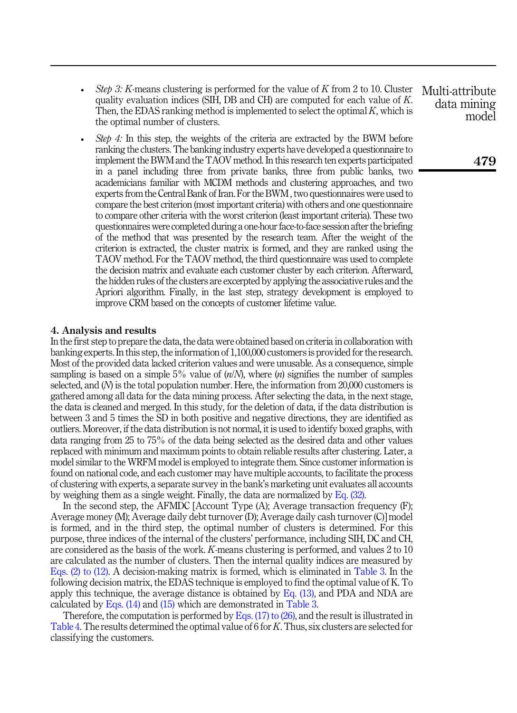- Step 3: K-means clustering is performed for the value of K from 2 to 10. Cluster quality evaluation indices (SIH, DB and CH) are computed for each value of K. Then, the EDAS ranking method is implemented to select the optimal  $K$ , which is the optimal number of clusters.
- $\bullet$  *Step 4*: In this step, the weights of the criteria are extracted by the BWM before ranking the clusters. The banking industry experts have developed a questionnaire to implement the BWM and the TAOV method. In this research ten experts participated in a panel including three from private banks, three from public banks, two academicians familiar with MCDM methods and clustering approaches, and two experts from the Central Bank of Iran. For the BWM , two questionnaires were used to compare the best criterion (most important criteria) with others and one questionnaire to compare other criteria with the worst criterion (least important criteria). These two questionnaires were completed during a one-hour face-to-face session after the briefing of the method that was presented by the research team. After the weight of the criterion is extracted, the cluster matrix is formed, and they are ranked using the TAOV method. For the TAOV method, the third questionnaire was used to complete the decision matrix and evaluate each customer cluster by each criterion. Afterward, the hidden rules of the clusters are excerpted by applying the associative rules and the Apriori algorithm. Finally, in the last step, strategy development is employed to improve CRM based on the concepts of customer lifetime value.

#### <span id="page-23-0"></span>4. Analysis and results

In the first step to prepare the data, the data were obtained based on criteria in collaboration with banking experts. In this step, the information of 1,100,000 customers is provided for the research. Most of the provided data lacked criterion values and were unusable. As a consequence, simple sampling is based on a simple 5% value of  $(n/N)$ , where  $(n)$  signifies the number of samples selected, and (N) is the total population number. Here, the information from 20,000 customers is gathered among all data for the data mining process. After selecting the data, in the next stage, the data is cleaned and merged. In this study, for the deletion of data, if the data distribution is between 3 and 5 times the SD in both positive and negative directions, they are identified as outliers. Moreover, if the data distribution is not normal, it is used to identify boxed graphs, with data ranging from 25 to 75% of the data being selected as the desired data and other values replaced with minimum and maximum points to obtain reliable results after clustering. Later, a model similar to the WRFM model is employed to integrate them. Since customer information is found on national code, and each customer may have multiple accounts, to facilitate the process of clustering with experts, a separate survey in the bank's marketing unit evaluates all accounts by weighing them as a single weight. Finally, the data are normalized by [Eq. \(32\).](#page-21-1)

In the second step, the AFMDC [Account Type (A); Average transaction frequency (F); Average money (M); Average daily debt turnover (D); Average daily cash turnover (C)] model is formed, and in the third step, the optimal number of clusters is determined. For this purpose, three indices of the internal of the clusters' performance, including SIH, DC and CH, are considered as the basis of the work. K-means clustering is performed, and values 2 to 10 are calculated as the number of clusters. Then the internal quality indices are measured by [Eqs. \(2\) to \(12\)](#page-7-0). A decision-making matrix is formed, which is eliminated in [Table 3](#page-24-0). In the following decision matrix, the EDAS technique is employed to find the optimal value of K. To apply this technique, the average distance is obtained by  $Eq. (13)$ , and PDA and NDA are calculated by [Eqs. \(14\)](#page-7-0) and [\(15\)](#page-7-0) which are demonstrated in [Table 3](#page-24-0).

Therefore, the computation is performed by [Eqs. \(17\) to \(26\),](#page-10-4) and the result is illustrated in [Table 4](#page-24-0). The results determined the optimal value of 6 for K. Thus, six clusters are selected for classifying the customers.

Multi-attribute data mining model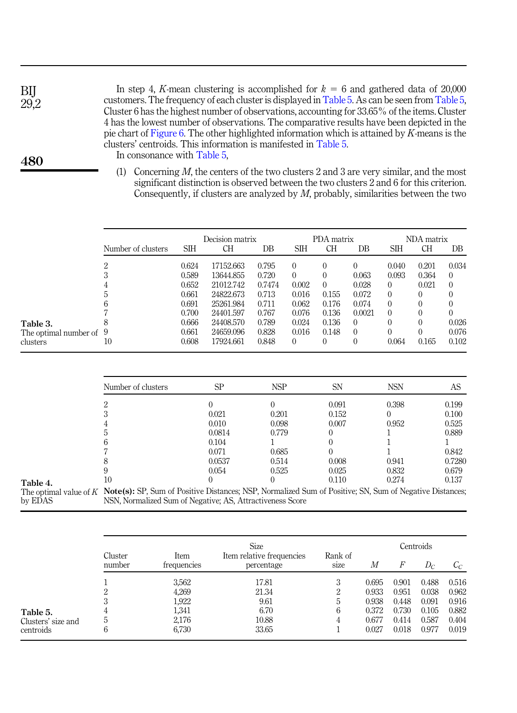| In step 4, K-mean clustering is accomplished for $k = 6$ and gathered data of 20,000            |
|-------------------------------------------------------------------------------------------------|
| customers. The frequency of each cluster is displayed in Table 5. As can be seen from Table 5,  |
| Cluster 6 has the highest number of observations, accounting for 33.65% of the items. Cluster   |
| 4 has the lowest number of observations. The comparative results have been depicted in the      |
| pie chart of Figure 6. The other highlighted information which is attained by $K$ -means is the |
| clusters' centroids. This information is manifested in Table 5.                                 |
| In consonance with Table 5.                                                                     |

(1) Concerning  $M$ , the centers of the two clusters 2 and 3 are very similar, and the most significant distinction is observed between the two clusters 2 and 6 for this criterion. Consequently, if clusters are analyzed by  $M$ , probably, similarities between the two

|                           |                    |            | Decision matrix |        |          | PDA matrix |          |          | NDA matrix |          |
|---------------------------|--------------------|------------|-----------------|--------|----------|------------|----------|----------|------------|----------|
|                           | Number of clusters | <b>SIH</b> | CН              | DΒ     | SІН      | CН         | DB       | SІН      | CН         | DB       |
|                           | റ                  | 0.624      | 17152.663       | 0.795  | $\Omega$ | $\left($   | $\theta$ | 0.040    | 0.201      | 0.034    |
|                           | 3                  | 0.589      | 13644.855       | 0.720  | 0        |            | 0.063    | 0.093    | 0.364      | $\Omega$ |
|                           | 4                  | 0.652      | 21012.742       | 0.7474 | 0.002    | 0          | 0.028    | $\Omega$ | 0.021      | $\Omega$ |
|                           | :C                 | 0.661      | 24822.673       | 0.713  | 0.016    | 0.155      | 0.072    | $\left($ |            | 0        |
|                           | h                  | 0.691      | 25261.984       | 0.711  | 0.062    | 0.176      | 0.074    | $\left($ |            |          |
|                           |                    | 0.700      | 24401.597       | 0.767  | 0.076    | 0.136      | 0.0021   | $\left($ |            |          |
| Table 3.                  |                    | 0.666      | 24408.570       | 0.789  | 0.024    | 0.136      | $\left($ | 0        |            | 0.026    |
| The optimal number of $9$ |                    | 0.661      | 24659.096       | 0.828  | 0.016    | 0.148      | $\theta$ | 0        |            | 0.076    |
| clusters                  | 10                 | 0.608      | 17924.661       | 0.848  | 0        | 0          | $\theta$ | 0.064    | 0.165      | 0.102    |

|          | Number of clusters                                                                                                               | SP     | <b>NSP</b> | <b>SN</b> | <b>NSN</b> | AS     |
|----------|----------------------------------------------------------------------------------------------------------------------------------|--------|------------|-----------|------------|--------|
|          |                                                                                                                                  |        |            | 0.091     | 0.398      | 0.199  |
|          |                                                                                                                                  | 0.021  | 0.201      | 0.152     |            | 0.100  |
|          |                                                                                                                                  | 0.010  | 0.098      | 0.007     | 0.952      | 0.525  |
|          |                                                                                                                                  | 0.0814 | 0.779      |           |            | 0.889  |
|          |                                                                                                                                  | 0.104  |            |           |            |        |
|          |                                                                                                                                  | 0.071  | 0.685      |           |            | 0.842  |
|          |                                                                                                                                  | 0.0537 | 0.514      | 0.008     | 0.941      | 0.7280 |
|          |                                                                                                                                  | 0.054  | 0.525      | 0.025     | 0.832      | 0.679  |
| Table 4. | $10\,$                                                                                                                           |        |            | 0.110     | 0.274      | 0.137  |
|          | The optimal value of $K$ Note(s): SP, Sum of Positive Distances; NSP, Normalized Sum of Positive; SN, Sum of Negative Distances; |        |            |           |            |        |
| by EDAS  | NSN, Normalized Sum of Negative; AS, Attractiveness Score                                                                        |        |            |           |            |        |

|                    | Cluster | Item        | <b>Size</b><br>Item relative frequencies | Rank of     |       |       | Centroids |       |
|--------------------|---------|-------------|------------------------------------------|-------------|-------|-------|-----------|-------|
|                    | number  | frequencies | percentage                               | <b>S1Ze</b> | М     | F     | $D_C$     | $C_C$ |
|                    |         | 3,562       | 17.81                                    | 3           | 0.695 | 0.901 | 0.488     | 0.516 |
|                    | ∠       | 4,269       | 21.34                                    | າ           | 0.933 | 0.951 | 0.038     | 0.962 |
|                    | 3       | 1,922       | 9.61                                     | ۰.          | 0.938 | 0.448 | 0.091     | 0.916 |
| Table 5.           | 4       | 1,341       | 6.70                                     | 6           | 0.372 | 0.730 | 0.105     | 0.882 |
| Clusters' size and | b       | 2,176       | 10.88                                    | 4           | 0.677 | 0.414 | 0.587     | 0.404 |
| centroids          | 6       | 6,730       | 33.65                                    |             | 0.027 | 0.018 | 0.977     | 0.019 |

480

<span id="page-24-0"></span>BIJ 29,2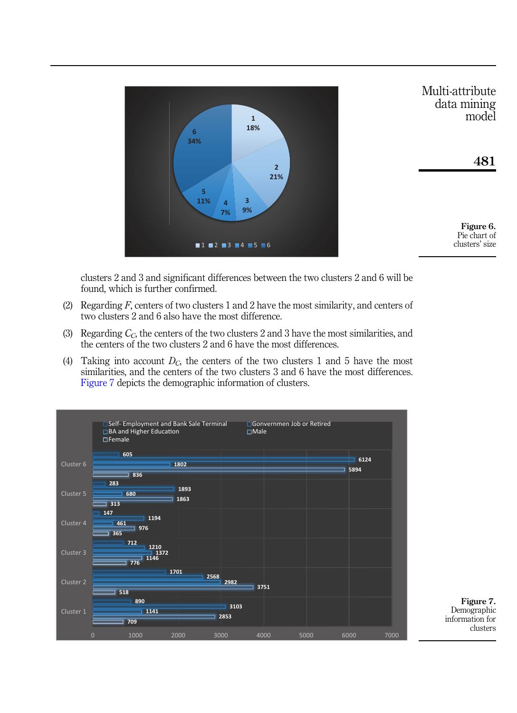<span id="page-25-0"></span>

clusters 2 and 3 and significant differences between the two clusters 2 and 6 will be found, which is further confirmed.

- (2) Regarding  $F$ , centers of two clusters 1 and 2 have the most similarity, and centers of two clusters 2 and 6 also have the most difference.
- (3) Regarding  $C<sub>C</sub>$ , the centers of the two clusters 2 and 3 have the most similarities, and the centers of the two clusters 2 and 6 have the most differences.
- (4) Taking into account  $D<sub>C</sub>$ , the centers of the two clusters 1 and 5 have the most similarities, and the centers of the two clusters 3 and 6 have the most differences. Figure 7 depicts the demographic information of clusters.



Figure 7. Demographic information for clusters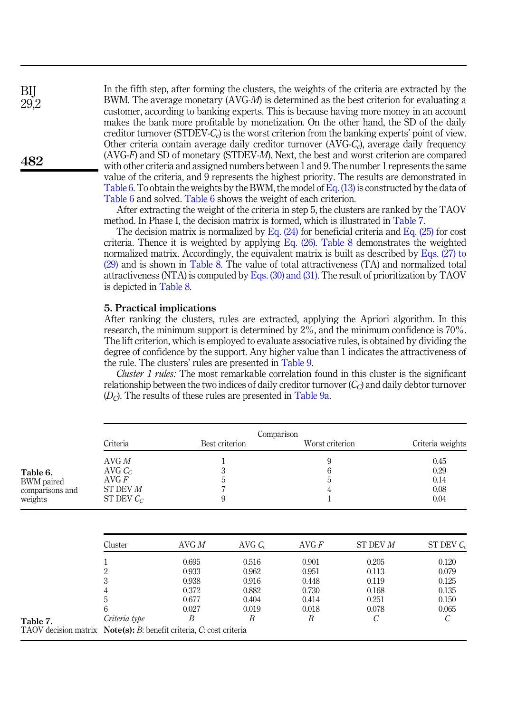In the fifth step, after forming the clusters, the weights of the criteria are extracted by the BWM. The average monetary (AVG-M) is determined as the best criterion for evaluating a customer, according to banking experts. This is because having more money in an account makes the bank more profitable by monetization. On the other hand, the SD of the daily creditor turnover (STDEV- $C<sub>c</sub>$ ) is the worst criterion from the banking experts' point of view. Other criteria contain average daily creditor turnover  $(AVG-C<sub>c</sub>)$ , average daily frequency (AVG-F) and SD of monetary (STDEV-M). Next, the best and worst criterion are compared with other criteria and assigned numbers between 1 and 9. The number 1 represents the same value of the criteria, and 9 represents the highest priority. The results are demonstrated in Table 6. To obtain the weights by the BWM, the model of Eq.  $(13)$  is constructed by the data of Table 6 and solved. Table 6 shows the weight of each criterion.

After extracting the weight of the criteria in step 5, the clusters are ranked by the TAOV method. In Phase I, the decision matrix is formed, which is illustrated in Table 7.

The decision matrix is normalized by Eq.  $(24)$  for beneficial criteria and Eq.  $(25)$  for cost criteria. Thence it is weighted by applying Eq.  $(26)$ . [Table 8](#page-27-0) demonstrates the weighted normalized matrix. Accordingly, the equivalent matrix is built as described by [Eqs. \(27\) to](#page-12-0) [\(29\)](#page-12-0) and is shown in [Table 8.](#page-27-0) The value of total attractiveness (TA) and normalized total attractiveness (NTA) is computed by [Eqs. \(30\) and \(31\).](#page-12-2) The result of prioritization by TAOV is depicted in [Table 8.](#page-27-0)

### <span id="page-26-0"></span>5. Practical implications

After ranking the clusters, rules are extracted, applying the Apriori algorithm. In this research, the minimum support is determined by 2%, and the minimum confidence is 70%. The lift criterion, which is employed to evaluate associative rules, is obtained by dividing the degree of confidence by the support. Any higher value than 1 indicates the attractiveness of the rule. The clusters' rules are presented in [Table 9](#page-28-0).

Cluster 1 rules: The most remarkable correlation found in this cluster is the significant relationship between the two indices of daily creditor turnover  $(C<sub>c</sub>)$  and daily debtor turnover  $(D<sub>C</sub>)$ . The results of these rules are presented in [Table 9a](#page-28-0).

| Criteria                                                              |                                                         |                                                         |                                                                                               |                                                         | Criteria weights                                        |
|-----------------------------------------------------------------------|---------------------------------------------------------|---------------------------------------------------------|-----------------------------------------------------------------------------------------------|---------------------------------------------------------|---------------------------------------------------------|
| AVG M<br>AVG $C_c$<br>$\rm{AVG}$ $\rm{F}$<br>ST DEV M<br>ST DEV $C_c$ |                                                         | T<br>3<br>5                                             | 9<br>6<br>5<br>4                                                                              |                                                         | 0.45<br>0.29<br>0.14<br>0.08<br>0.04                    |
| Cluster                                                               | AVG M                                                   | $AVG C_c$                                               | AVGF                                                                                          | ST DEV M                                                | ST DEV $C_c$                                            |
| 1<br>$\overline{2}$<br>3<br>4<br>5<br>6<br>Criteria type              | 0.695<br>0.933<br>0.938<br>0.372<br>0.677<br>0.027<br>B | 0.516<br>0.962<br>0.916<br>0.882<br>0.404<br>0.019<br>B | 0.901<br>0.951<br>0.448<br>0.730<br>0.414<br>0.018<br>B                                       | 0.205<br>0.113<br>0.119<br>0.168<br>0.251<br>0.078<br>C | 0.120<br>0.079<br>0.125<br>0.135<br>0.150<br>0.065<br>С |
|                                                                       |                                                         |                                                         | Best criterion<br>9<br>TAOV decision matrix $Note(s): B$ : benefit criteria, C. cost criteria | Comparison                                              | Worst criterion                                         |

BIJ 29,2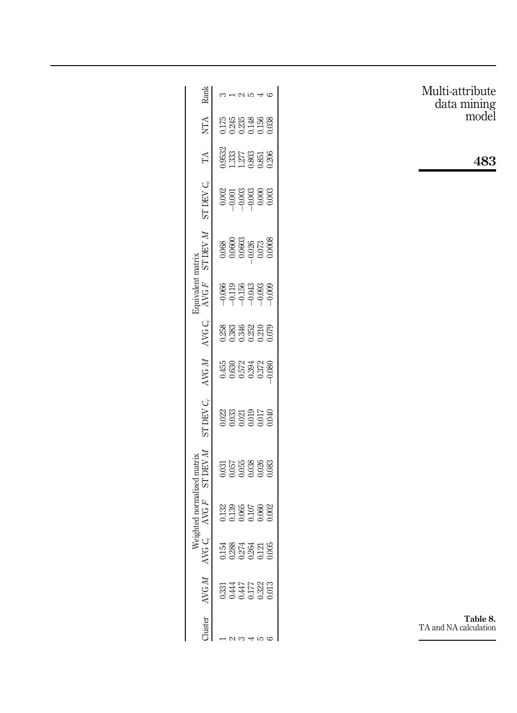<span id="page-27-0"></span>

| Rank                                                                                | $3 - 25$                                                                                                                                                                                                                                                                                                                                        | Multi-attribute<br>data mining<br>model |
|-------------------------------------------------------------------------------------|-------------------------------------------------------------------------------------------------------------------------------------------------------------------------------------------------------------------------------------------------------------------------------------------------------------------------------------------------|-----------------------------------------|
| <b>NTA</b>                                                                          | 0175<br>0245<br>0026<br>00038<br>0000                                                                                                                                                                                                                                                                                                           |                                         |
| TA                                                                                  | $\begin{array}{l} 0.9532 \\ 1.333 \\ 1.277 \\ 0.803 \\ 0.851 \\ 0.206 \end{array}$                                                                                                                                                                                                                                                              | 483                                     |
| ST DEV $C_{\rm c}$                                                                  |                                                                                                                                                                                                                                                                                                                                                 |                                         |
| <b>N AGL LS</b>                                                                     | $\begin{array}{r} 0.068 \\ 0.0600 \\ 0.0603 \\ 0.073 \\ 0.073 \\ 0.0008 \end{array}$                                                                                                                                                                                                                                                            |                                         |
| Equivalent matrix<br>AVGF                                                           | $\begin{array}{l} 666 \\ 661 \\ -1156 \\ -1356 \\ -1356 \\ -1356 \\ -1456 \\ -1456 \\ -1456 \\ -1456 \\ -1456 \\ -1456 \\ -1456 \\ -1456 \\ -1456 \\ -1456 \\ -1456 \\ -1456 \\ -1456 \\ -1456 \\ -1456 \\ -1456 \\ -1456 \\ -1456 \\ -1456 \\ -1456 \\ -1456 \\ -1456 \\ -1456 \\ -1456 \\ -1456 \\ -1456 \\ -1456 \\ -1456 \\ -1456 \\ -1456$ |                                         |
| AVG $C_c$                                                                           |                                                                                                                                                                                                                                                                                                                                                 |                                         |
| AVG M                                                                               |                                                                                                                                                                                                                                                                                                                                                 |                                         |
| ST DEV $C_c$                                                                        | $\begin{array}{r} 0.023 \\ 0.033 \\ 0.010 \\ 0.011 \\ 0.033 \\ 0.010 \\ 0.030 \\ 0.030 \\ \end{array}$                                                                                                                                                                                                                                          |                                         |
| <b>N ABL LS</b><br>Weighted normalized matrix<br>AVG $C_c$ AVG $F$ ST DEV $\Lambda$ | $\begin{array}{l} 0.031 \\ 0.057 \\ 0.038 \\ 0.038 \\ 0.038 \\ 0.038 \\ \end{array}$                                                                                                                                                                                                                                                            |                                         |
| AVGF                                                                                | 0.132<br>0.136<br>0.065<br>0.000                                                                                                                                                                                                                                                                                                                |                                         |
| $\sim$                                                                              | 고 88 군 정<br>그 88 2 3 2 1<br>그 8 2 3 1 2 1 2                                                                                                                                                                                                                                                                                                     |                                         |
| AVGM                                                                                | 0331<br>0.447<br>0.447<br>0.032<br>0.03                                                                                                                                                                                                                                                                                                         |                                         |
| Cluster                                                                             | $\frac{1}{2}$ $\alpha$ $\alpha$ $\alpha$ $\alpha$                                                                                                                                                                                                                                                                                               | Table 8.<br>TA and NA calculation       |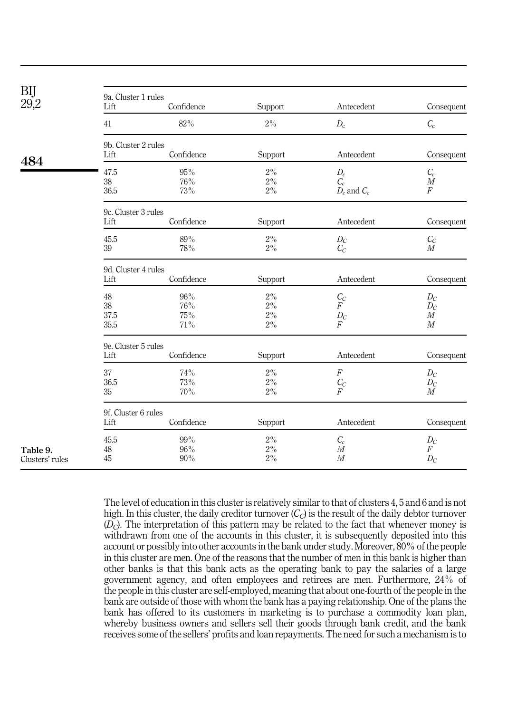<span id="page-28-0"></span>

| BIJ<br>29,2                 | 9a. Cluster 1 rules<br>Lift | Confidence                  | Support                          | Antecedent                                         | Consequent                                       |  |  |  |  |
|-----------------------------|-----------------------------|-----------------------------|----------------------------------|----------------------------------------------------|--------------------------------------------------|--|--|--|--|
|                             | 41                          | $82\%$                      | $2\%$                            | $D_{\rm c}$                                        | $C_{\rm c}$                                      |  |  |  |  |
|                             | 9b. Cluster 2 rules         |                             |                                  |                                                    |                                                  |  |  |  |  |
| 484                         | Lift                        | Confidence                  | Support                          | Antecedent                                         | Consequent                                       |  |  |  |  |
|                             | 47.5<br>38<br>36.5          | 95%<br>76%<br>73%           | 2%<br>$2\%$<br>$2\%$             | $\mathcal{D}_c \ \mathcal{C}_c$<br>$D_c$ and $C_c$ | $C_c$<br>$\boldsymbol{M}$<br>$\overline{F}$      |  |  |  |  |
|                             | 9c. Cluster 3 rules         |                             |                                  |                                                    |                                                  |  |  |  |  |
|                             | Lift                        | Confidence                  | Support                          | Antecedent                                         | Consequent                                       |  |  |  |  |
|                             | 45.5<br>39                  | $89\%$<br>78%               | $2\%$<br>$2\%$                   | $D_{C}$<br>$C_C$                                   | $C_C$<br>$\boldsymbol{M}$                        |  |  |  |  |
|                             | 9d. Cluster 4 rules         |                             |                                  |                                                    |                                                  |  |  |  |  |
|                             | Lift                        | Confidence                  | Support                          | Antecedent                                         | Consequent                                       |  |  |  |  |
|                             | 48<br>38<br>37.5<br>35.5    | 96%<br>76%<br>75%<br>$71\%$ | $2\%$<br>$2\%$<br>$2\%$<br>$2\%$ | $\frac{C_C}{F}$<br>$\Pr_F$                         | $D_{C}$<br>$D_{C}$<br>M<br>M                     |  |  |  |  |
|                             | 9e. Cluster 5 rules<br>Lift | Confidence                  | Support                          | Antecedent                                         | Consequent                                       |  |  |  |  |
|                             | 37<br>36.5<br>35            | 74%<br>73%<br>70%           | 2%<br>$2\%$<br>$2\%$             | $\overline{F}$<br>$\mathop{C_C}\limits_{F}$        | $D_{C}$<br>$D_{C}$<br>$\cal M$                   |  |  |  |  |
|                             | 9f. Cluster 6 rules<br>Lift | Confidence                  | Support                          | Antecedent                                         | Consequent                                       |  |  |  |  |
| Table 9.<br>Clusters' rules | 45.5<br>48<br>45            | 99%<br>96%<br>90%           | $2\%$<br>$2\%$<br>$2\%$          | $\ensuremath{\mathcal{C}}_c$<br>$\cal M$<br>M      | $D_{C}$<br>$\boldsymbol{F}$<br>$D_{\mathcal{C}}$ |  |  |  |  |

The level of education in this cluster is relatively similar to that of clusters 4, 5 and 6 and is not high. In this cluster, the daily creditor turnover  $(C<sub>C</sub>)$  is the result of the daily debtor turnover  $(D<sub>C</sub>)$ . The interpretation of this pattern may be related to the fact that whenever money is withdrawn from one of the accounts in this cluster, it is subsequently deposited into this account or possibly into other accounts in the bank under study. Moreover, 80% of the people in this cluster are men. One of the reasons that the number of men in this bank is higher than other banks is that this bank acts as the operating bank to pay the salaries of a large government agency, and often employees and retirees are men. Furthermore, 24% of the people in this cluster are self-employed, meaning that about one-fourth of the people in the bank are outside of those with whom the bank has a paying relationship. One of the plans the bank has offered to its customers in marketing is to purchase a commodity loan plan, whereby business owners and sellers sell their goods through bank credit, and the bank receives some of the sellers' profits and loan repayments. The need for such a mechanism is to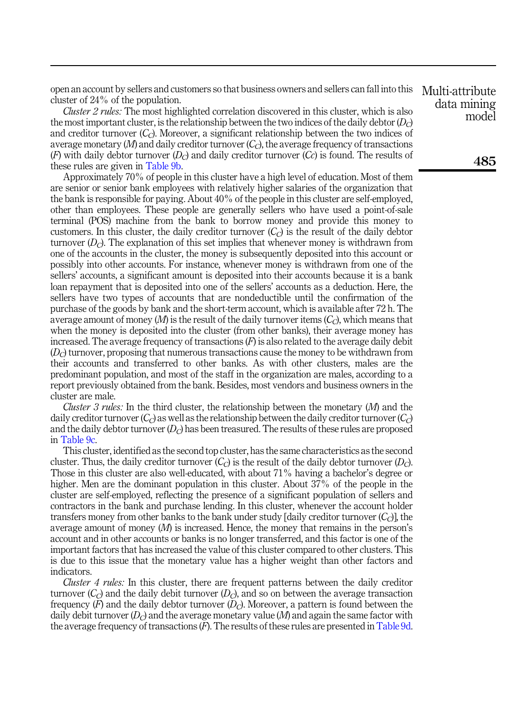open an account by sellers and customers so that business owners and sellers can fall into this cluster of 24% of the population.

Cluster 2 rules: The most highlighted correlation discovered in this cluster, which is also the most important cluster, is the relationship between the two indices of the daily debtor  $(D<sub>c</sub>)$ and creditor turnover  $(C_C)$ . Moreover, a significant relationship between the two indices of average monetary  $(M)$  and daily creditor turnover  $(C<sub>C</sub>)$ , the average frequency of transactions (F) with daily debtor turnover  $(D<sub>C</sub>)$  and daily creditor turnover  $(C<sub>C</sub>)$  is found. The results of these rules are given in [Table 9b.](#page-28-0)

Approximately 70% of people in this cluster have a high level of education. Most of them are senior or senior bank employees with relatively higher salaries of the organization that the bank is responsible for paying. About 40% of the people in this cluster are self-employed, other than employees. These people are generally sellers who have used a point-of-sale terminal (POS) machine from the bank to borrow money and provide this money to customers. In this cluster, the daily creditor turnover  $(C<sub>C</sub>)$  is the result of the daily debtor turnover  $(D<sub>C</sub>)$ . The explanation of this set implies that whenever money is withdrawn from one of the accounts in the cluster, the money is subsequently deposited into this account or possibly into other accounts. For instance, whenever money is withdrawn from one of the sellers' accounts, a significant amount is deposited into their accounts because it is a bank loan repayment that is deposited into one of the sellers' accounts as a deduction. Here, the sellers have two types of accounts that are nondeductible until the confirmation of the purchase of the goods by bank and the short-term account, which is available after 72 h. The average amount of money  $(M)$  is the result of the daily turnover items  $(C<sub>C</sub>)$ , which means that when the money is deposited into the cluster (from other banks), their average money has increased. The average frequency of transactions  $(F)$  is also related to the average daily debit  $(D<sub>c</sub>)$  turnover, proposing that numerous transactions cause the money to be withdrawn from their accounts and transferred to other banks. As with other clusters, males are the predominant population, and most of the staff in the organization are males, according to a report previously obtained from the bank. Besides, most vendors and business owners in the cluster are male.

*Cluster 3 rules:* In the third cluster, the relationship between the monetary  $(M)$  and the daily creditor turnover  $(C_C)$  as well as the relationship between the daily creditor turnover  $(C_C)$ and the daily debtor turnover  $(D<sub>C</sub>)$  has been treasured. The results of these rules are proposed in [Table 9c.](#page-28-0)

This cluster, identified as the second top cluster, has the same characteristics as the second cluster. Thus, the daily creditor turnover  $(C<sub>C</sub>)$  is the result of the daily debtor turnover  $(D<sub>C</sub>)$ . Those in this cluster are also well-educated, with about 71% having a bachelor's degree or higher. Men are the dominant population in this cluster. About 37% of the people in the cluster are self-employed, reflecting the presence of a significant population of sellers and contractors in the bank and purchase lending. In this cluster, whenever the account holder transfers money from other banks to the bank under study [daily creditor turnover  $(C<sub>C</sub>)$ ], the average amount of money  $(M)$  is increased. Hence, the money that remains in the person's account and in other accounts or banks is no longer transferred, and this factor is one of the important factors that has increased the value of this cluster compared to other clusters. This is due to this issue that the monetary value has a higher weight than other factors and indicators.

Cluster 4 rules: In this cluster, there are frequent patterns between the daily creditor turnover  $(C<sub>c</sub>)$  and the daily debit turnover  $(D<sub>c</sub>)$ , and so on between the average transaction frequency  $(F)$  and the daily debtor turnover  $(D<sub>c</sub>)$ . Moreover, a pattern is found between the daily debit turnover  $(D<sub>c</sub>)$  and the average monetary value  $(M)$  and again the same factor with the average frequency of transactions (F). The results of these rules are presented in [Table 9d](#page-28-0).

Multi-attribute data mining model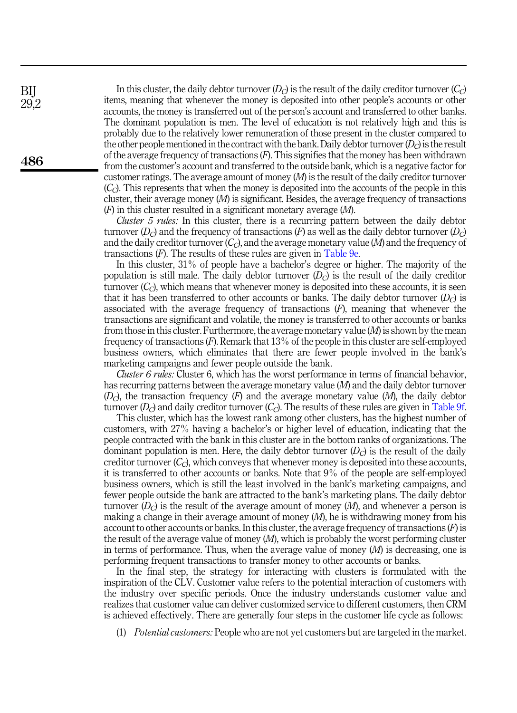In this cluster, the daily debtor turnover  $(D<sub>C</sub>)$  is the result of the daily creditor turnover  $(C<sub>C</sub>)$ items, meaning that whenever the money is deposited into other people's accounts or other accounts, the money is transferred out of the person's account and transferred to other banks. The dominant population is men. The level of education is not relatively high and this is probably due to the relatively lower remuneration of those present in the cluster compared to the other people mentioned in the contract with the bank. Daily debtor turnover  $(D<sub>C</sub>)$  is the result of the average frequency of transactions  $(F)$ . This signifies that the money has been withdrawn from the customer's account and transferred to the outside bank, which is a negative factor for customer ratings. The average amount of money  $(M)$  is the result of the daily creditor turnover  $(C<sub>c</sub>)$ . This represents that when the money is deposited into the accounts of the people in this cluster, their average money  $(M)$  is significant. Besides, the average frequency of transactions  $(F)$  in this cluster resulted in a significant monetary average  $(M)$ .

*Cluster 5 rules:* In this cluster, there is a recurring pattern between the daily debtor turnover  $(D_C)$  and the frequency of transactions  $(F)$  as well as the daily debtor turnover  $(D_C)$ and the daily creditor turnover  $(C_C)$ , and the average monetary value (M) and the frequency of transactions  $(F)$ . The results of these rules are given in [Table 9e.](#page-28-0)

In this cluster, 31% of people have a bachelor's degree or higher. The majority of the population is still male. The daily debtor turnover  $(D<sub>C</sub>)$  is the result of the daily creditor turnover  $(C<sub>c</sub>)$ , which means that whenever money is deposited into these accounts, it is seen that it has been transferred to other accounts or banks. The daily debtor turnover  $(D<sub>C</sub>)$  is associated with the average frequency of transactions  $(F)$ , meaning that whenever the transactions are significant and volatile, the money is transferred to other accounts or banks from those in this cluster. Furthermore, the average monetary value  $(M)$  is shown by the mean frequency of transactions (F). Remark that 13% of the people in this cluster are self-employed business owners, which eliminates that there are fewer people involved in the bank's marketing campaigns and fewer people outside the bank.

Cluster 6 rules: Cluster 6, which has the worst performance in terms of financial behavior, has recurring patterns between the average monetary value (M) and the daily debtor turnover  $(D<sub>c</sub>)$ , the transaction frequency  $(F)$  and the average monetary value  $(M)$ , the daily debtor turnover  $(D<sub>C</sub>)$  and daily creditor turnover  $(C<sub>C</sub>)$ . The results of these rules are given in [Table 9f](#page-28-0).

This cluster, which has the lowest rank among other clusters, has the highest number of customers, with 27% having a bachelor's or higher level of education, indicating that the people contracted with the bank in this cluster are in the bottom ranks of organizations. The dominant population is men. Here, the daily debtor turnover  $(D<sub>C</sub>)$  is the result of the daily creditor turnover  $(C<sub>C</sub>)$ , which conveys that whenever money is deposited into these accounts, it is transferred to other accounts or banks. Note that 9% of the people are self-employed business owners, which is still the least involved in the bank's marketing campaigns, and fewer people outside the bank are attracted to the bank's marketing plans. The daily debtor turnover  $(D<sub>C</sub>)$  is the result of the average amount of money  $(M)$ , and whenever a person is making a change in their average amount of money  $(M)$ , he is withdrawing money from his account to other accounts or banks. In this cluster, the average frequency of transactions  $(F)$  is the result of the average value of money  $(M)$ , which is probably the worst performing cluster in terms of performance. Thus, when the average value of money  $(M)$  is decreasing, one is performing frequent transactions to transfer money to other accounts or banks.

In the final step, the strategy for interacting with clusters is formulated with the inspiration of the CLV. Customer value refers to the potential interaction of customers with the industry over specific periods. Once the industry understands customer value and realizes that customer value can deliver customized service to different customers, then CRM is achieved effectively. There are generally four steps in the customer life cycle as follows:

(1) Potential customers: People who are not yet customers but are targeted in the market.

BIJ 29,2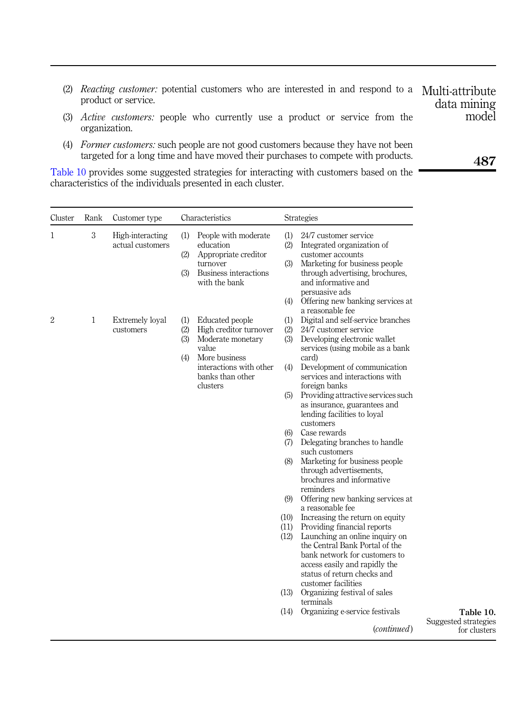- (2) *Reacting customer*: potential customers who are interested in and respond to a Multi-attribute product or service.
- (3) Active customers: people who currently use a product or service from the organization.
- (4) Former customers: such people are not good customers because they have not been targeted for a long time and have moved their purchases to compete with products.

Table 10 provides some suggested strategies for interacting with customers based on the characteristics of the individuals presented in each cluster.

| Cluster | Rank         | Customer type                        | Characteristics                                                                                                                                                        |                                                                                                     | Strategies                                                                                                                                                                                                                                                                                                                                                                                                                                                                                                                                                                                                                                                                                                                                                                                                                                                                                                                                     |          |  |  |  |
|---------|--------------|--------------------------------------|------------------------------------------------------------------------------------------------------------------------------------------------------------------------|-----------------------------------------------------------------------------------------------------|------------------------------------------------------------------------------------------------------------------------------------------------------------------------------------------------------------------------------------------------------------------------------------------------------------------------------------------------------------------------------------------------------------------------------------------------------------------------------------------------------------------------------------------------------------------------------------------------------------------------------------------------------------------------------------------------------------------------------------------------------------------------------------------------------------------------------------------------------------------------------------------------------------------------------------------------|----------|--|--|--|
| 1       | 3            | High-interacting<br>actual customers | (1)<br>People with moderate<br>education<br>(2)<br>Appropriate creditor<br>turnover<br>Business interactions<br>(3)<br>with the bank                                   | (1)<br>(2)<br>(3)<br>(4)                                                                            | 24/7 customer service<br>Integrated organization of<br>customer accounts<br>Marketing for business people<br>through advertising, brochures,<br>and informative and<br>persuasive ads<br>Offering new banking services at                                                                                                                                                                                                                                                                                                                                                                                                                                                                                                                                                                                                                                                                                                                      |          |  |  |  |
| 2       | $\mathbf{1}$ | Extremely loyal<br>customers         | (1) Educated people<br>(2) High creditor turnover<br>(3) Moderate monetary<br>value<br>More business<br>(4)<br>interactions with other<br>banks than other<br>clusters | (1)<br>(2)<br>(3)<br>(4)<br>(5)<br>(6)<br>(7)<br>(8)<br>(9)<br>(10)<br>(11)<br>(12)<br>(13)<br>(14) | a reasonable fee<br>Digital and self-service branches<br>24/7 customer service<br>Developing electronic wallet<br>services (using mobile as a bank<br>card)<br>Development of communication<br>services and interactions with<br>foreign banks<br>Providing attractive services such<br>as insurance, guarantees and<br>lending facilities to loyal<br>customers<br>Case rewards<br>Delegating branches to handle<br>such customers<br>Marketing for business people<br>through advertisements,<br>brochures and informative<br>reminders<br>Offering new banking services at<br>a reasonable fee<br>Increasing the return on equity<br>Providing financial reports<br>Launching an online inquiry on<br>the Central Bank Portal of the<br>bank network for customers to<br>access easily and rapidly the<br>status of return checks and<br>customer facilities<br>Organizing festival of sales<br>terminals<br>Organizing e-service festivals | Suggeste |  |  |  |
|         |              |                                      |                                                                                                                                                                        |                                                                                                     | ( <i>continued</i> )                                                                                                                                                                                                                                                                                                                                                                                                                                                                                                                                                                                                                                                                                                                                                                                                                                                                                                                           |          |  |  |  |

487

data mining model

Table 10. d strategies for clusters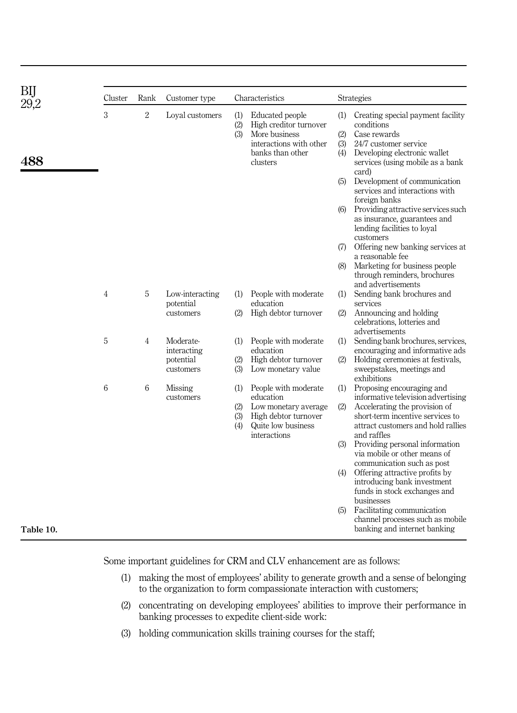| ВIJ       | Cluster        | Rank           | Customer type                | Characteristics   |                                                                                                                       | Strategies                             |                                                                                                                                                                                                                                                                                                                                                               |
|-----------|----------------|----------------|------------------------------|-------------------|-----------------------------------------------------------------------------------------------------------------------|----------------------------------------|---------------------------------------------------------------------------------------------------------------------------------------------------------------------------------------------------------------------------------------------------------------------------------------------------------------------------------------------------------------|
| 488       | 3              | $\overline{2}$ | Loval customers              | (1)<br>(2)<br>(3) | Educated people<br>High creditor turnover<br>More business<br>interactions with other<br>banks than other<br>clusters | (1)<br>(2)<br>(3)<br>(4)<br>(5)<br>(6) | Creating special payment facility<br>conditions<br>Case rewards<br>24/7 customer service<br>Developing electronic wallet<br>services (using mobile as a bank<br>card)<br>Development of communication<br>services and interactions with<br>foreign banks<br>Providing attractive services such<br>as insurance, guarantees and<br>lending facilities to loyal |
|           |                |                |                              |                   |                                                                                                                       | (7)                                    | customers<br>Offering new banking services at<br>a reasonable fee                                                                                                                                                                                                                                                                                             |
|           |                |                |                              |                   |                                                                                                                       | (8)                                    | Marketing for business people<br>through reminders, brochures<br>and advertisements                                                                                                                                                                                                                                                                           |
|           | $\overline{4}$ | 5              | Low-interacting<br>potential | (1)               | People with moderate<br>education                                                                                     | (1)                                    | Sending bank brochures and<br>services                                                                                                                                                                                                                                                                                                                        |
|           |                |                | customers                    | (2)               | High debtor turnover                                                                                                  | (2)                                    | Announcing and holding<br>celebrations, lotteries and<br>advertisements                                                                                                                                                                                                                                                                                       |
|           | 5              | $\overline{4}$ | Moderate-<br>interacting     | (1)               | People with moderate<br>education                                                                                     | (1)                                    | Sending bank brochures, services,<br>encouraging and informative ads                                                                                                                                                                                                                                                                                          |
|           |                |                | potential<br>customers       | (2)<br>(3)        | High debtor turnover<br>Low monetary value                                                                            | (2)                                    | Holding ceremonies at festivals,<br>sweepstakes, meetings and<br>exhibitions                                                                                                                                                                                                                                                                                  |
|           | 6              | 6              | Missing<br>customers         | (1)               | People with moderate<br>education                                                                                     | (1)                                    | Proposing encouraging and<br>informative television advertising                                                                                                                                                                                                                                                                                               |
|           |                |                |                              | (2)<br>(3)<br>(4) | Low monetary average<br>High debtor turnover<br>Quite low business<br>interactions                                    | (2)                                    | Accelerating the provision of<br>short-term incentive services to<br>attract customers and hold rallies<br>and raffles                                                                                                                                                                                                                                        |
|           |                |                |                              |                   |                                                                                                                       | (3)                                    | Providing personal information<br>via mobile or other means of                                                                                                                                                                                                                                                                                                |
|           |                |                |                              |                   |                                                                                                                       | (4)                                    | communication such as post<br>Offering attractive profits by<br>introducing bank investment<br>funds in stock exchanges and<br>businesses                                                                                                                                                                                                                     |
| Table 10. |                |                |                              |                   |                                                                                                                       | (5)                                    | Facilitating communication<br>channel processes such as mobile<br>banking and internet banking                                                                                                                                                                                                                                                                |

Some important guidelines for CRM and CLV enhancement are as follows:

- (1) making the most of employees' ability to generate growth and a sense of belonging to the organization to form compassionate interaction with customers;
- (2) concentrating on developing employees' abilities to improve their performance in banking processes to expedite client-side work:
- (3) holding communication skills training courses for the staff;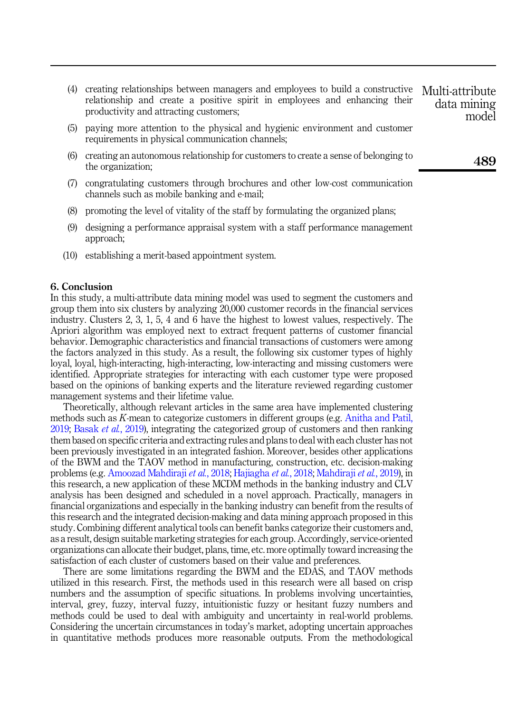- (4) creating relationships between managers and employees to build a constructive relationship and create a positive spirit in employees and enhancing their productivity and attracting customers; Multi-attribute data mining model
- (5) paying more attention to the physical and hygienic environment and customer requirements in physical communication channels;
- (6) creating an autonomous relationship for customers to create a sense of belonging to the organization;
- (7) congratulating customers through brochures and other low-cost communication channels such as mobile banking and e-mail;
- (8) promoting the level of vitality of the staff by formulating the organized plans;
- (9) designing a performance appraisal system with a staff performance management approach;
- (10) establishing a merit-based appointment system.

#### <span id="page-33-0"></span>6. Conclusion

In this study, a multi-attribute data mining model was used to segment the customers and group them into six clusters by analyzing 20,000 customer records in the financial services industry. Clusters 2, 3, 1, 5, 4 and 6 have the highest to lowest values, respectively. The Apriori algorithm was employed next to extract frequent patterns of customer financial behavior. Demographic characteristics and financial transactions of customers were among the factors analyzed in this study. As a result, the following six customer types of highly loyal, loyal, high-interacting, high-interacting, low-interacting and missing customers were identified. Appropriate strategies for interacting with each customer type were proposed based on the opinions of banking experts and the literature reviewed regarding customer management systems and their lifetime value.

Theoretically, although relevant articles in the same area have implemented clustering methods such as K-mean to categorize customers in different groups (e.g. [Anitha and Patil,](#page-34-6) [2019;](#page-34-6) [Basak](#page-34-8) et al., 2019), integrating the categorized group of customers and then ranking them based on specific criteria and extracting rules and plans to deal with each cluster has not been previously investigated in an integrated fashion. Moreover, besides other applications of the BWM and the TAOV method in manufacturing, construction, etc. decision-making problems (e.g. [Amoozad Mahdiraji](#page-34-10) et al., 2018; [Hajiagha](#page-35-15) et al., 2018; [Mahdiraji](#page-36-5) et al., 2019), in this research, a new application of these MCDM methods in the banking industry and CLV analysis has been designed and scheduled in a novel approach. Practically, managers in financial organizations and especially in the banking industry can benefit from the results of this research and the integrated decision-making and data mining approach proposed in this study. Combining different analytical tools can benefit banks categorize their customers and, as a result, design suitable marketing strategies for each group. Accordingly, service-oriented organizations can allocate their budget, plans, time, etc. more optimally toward increasing the satisfaction of each cluster of customers based on their value and preferences.

There are some limitations regarding the BWM and the EDAS, and TAOV methods utilized in this research. First, the methods used in this research were all based on crisp numbers and the assumption of specific situations. In problems involving uncertainties, interval, grey, fuzzy, interval fuzzy, intuitionistic fuzzy or hesitant fuzzy numbers and methods could be used to deal with ambiguity and uncertainty in real-world problems. Considering the uncertain circumstances in today's market, adopting uncertain approaches in quantitative methods produces more reasonable outputs. From the methodological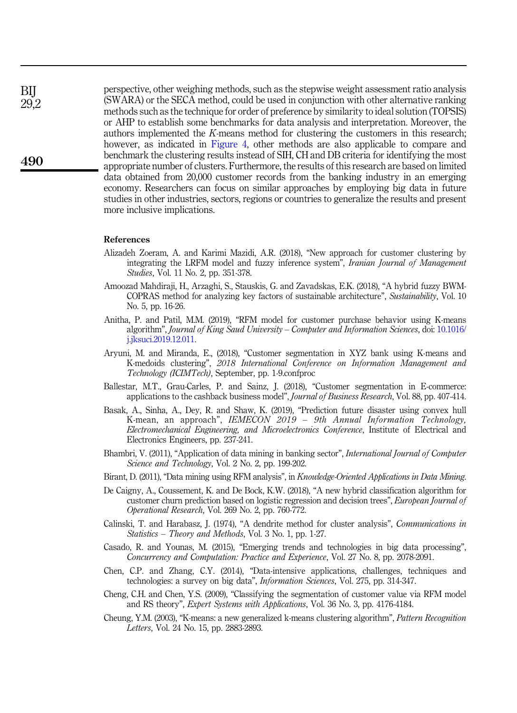perspective, other weighing methods, such as the stepwise weight assessment ratio analysis (SWARA) or the SECA method, could be used in conjunction with other alternative ranking methods such as the technique for order of preference by similarity to ideal solution (TOPSIS) or AHP to establish some benchmarks for data analysis and interpretation. Moreover, the authors implemented the K-means method for clustering the customers in this research; however, as indicated in [Figure 4,](#page-5-0) other methods are also applicable to compare and benchmark the clustering results instead of SIH, CH and DB criteria for identifying the most appropriate number of clusters. Furthermore, the results of this research are based on limited data obtained from 20,000 customer records from the banking industry in an emerging economy. Researchers can focus on similar approaches by employing big data in future studies in other industries, sectors, regions or countries to generalize the results and present more inclusive implications.

#### References

- <span id="page-34-11"></span>Alizadeh Zoeram, A. and Karimi Mazidi, A.R. (2018), "New approach for customer clustering by integrating the LRFM model and fuzzy inference system", Iranian Journal of Management Studies, Vol. 11 No. 2, pp. 351-378.
- <span id="page-34-10"></span>Amoozad Mahdiraji, H., Arzaghi, S., Stauskis, G. and Zavadskas, E.K. (2018), "A hybrid fuzzy BWM-COPRAS method for analyzing key factors of sustainable architecture", Sustainability, Vol. 10 No. 5, pp. 16-26.
- <span id="page-34-6"></span>Anitha, P. and Patil, M.M. (2019), "RFM model for customer purchase behavior using K-means algorithm", Journal of King Saud University – Computer and Information Sciences, doi: [10.1016/](https://doi.org/10.1016/j.jksuci.2019.12.011) [j.jksuci.2019.12.011.](https://doi.org/10.1016/j.jksuci.2019.12.011)
- <span id="page-34-12"></span>Aryuni, M. and Miranda, E., (2018), "Customer segmentation in XYZ bank using K-means and K-medoids clustering", 2018 International Conference on Information Management and Technology (ICIMTech), September, pp. 1-9.confproc
- <span id="page-34-4"></span>Ballestar, M.T., Grau-Carles, P. and Sainz, J. (2018), "Customer segmentation in E-commerce: applications to the cashback business model", Journal of Business Research, Vol. 88, pp. 407-414.
- <span id="page-34-8"></span>Basak, A., Sinha, A., Dey, R. and Shaw, K. (2019), "Prediction future disaster using convex hull K-mean, an approach", IEMECON 2019 – 9th Annual Information Technology, Electromechanical Engineering, and Microelectronics Conference, Institute of Electrical and Electronics Engineers, pp. 237-241.
- <span id="page-34-3"></span>Bhambri, V. (2011), "Application of data mining in banking sector", International Journal of Computer Science and Technology, Vol. 2 No. 2, pp. 199-202.
- <span id="page-34-5"></span>Birant, D. (2011), "Data mining using RFM analysis", in *Knowledge-Oriented Applications in Data Mining*.
- <span id="page-34-13"></span>De Caigny, A., Coussement, K. and De Bock, K.W. (2018), "A new hybrid classification algorithm for customer churn prediction based on logistic regression and decision trees", *European Journal of* Operational Research, Vol. 269 No. 2, pp. 760-772.
- <span id="page-34-9"></span>Calinski, T. and Harabasz, J. (1974), "A dendrite method for cluster analysis", Communications in Statistics – Theory and Methods, Vol. 3 No. 1, pp. 1-27.
- <span id="page-34-2"></span>Casado, R. and Younas, M. (2015), "Emerging trends and technologies in big data processing", Concurrency and Computation: Practice and Experience, Vol. 27 No. 8, pp. 2078-2091.
- <span id="page-34-1"></span>Chen, C.P. and Zhang, C.Y. (2014), "Data-intensive applications, challenges, techniques and technologies: a survey on big data", Information Sciences, Vol. 275, pp. 314-347.
- <span id="page-34-0"></span>Cheng, C.H. and Chen, Y.S. (2009), "Classifying the segmentation of customer value via RFM model and RS theory", Expert Systems with Applications, Vol. 36 No. 3, pp. 4176-4184.
- <span id="page-34-7"></span>Cheung, Y.M. (2003), "K-means: a new generalized k-means clustering algorithm", Pattern Recognition Letters, Vol. 24 No. 15, pp. 2883-2893.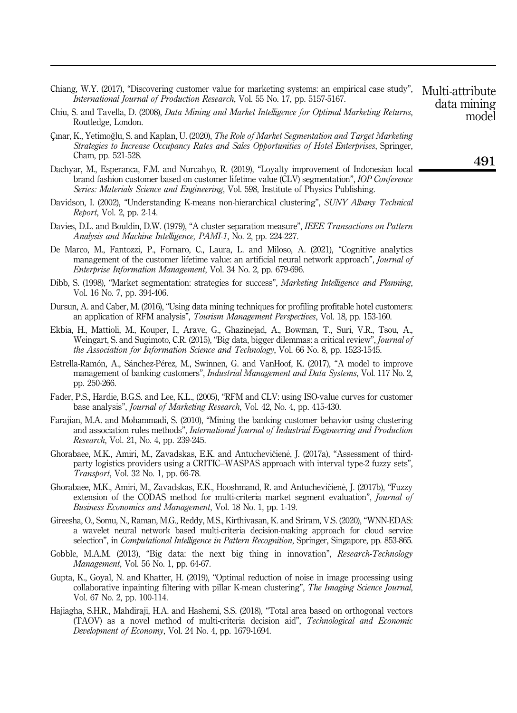- <span id="page-35-17"></span>Chiang, W.Y. (2017), "Discovering customer value for marketing systems: an empirical case study", International Journal of Production Research, Vol. 55 No. 17, pp. 5157-5167.
- <span id="page-35-10"></span>Chiu, S. and Tavella, D. (2008), Data Mining and Market Intelligence for Optimal Marketing Returns, Routledge, London.
- <span id="page-35-2"></span>Çınar, K., Yetimoglu, S. and Kaplan, U. (2020), The Role of Market Segmentation and Target Marketing Strategies to Increase Occupancy Rates and Sales Opportunities of Hotel Enterprises, Springer, Cham, pp. 521-528.
- <span id="page-35-7"></span>Dachyar, M., Esperanca, F.M. and Nurcahyo, R. (2019), "Loyalty improvement of Indonesian local brand fashion customer based on customer lifetime value (CLV) segmentation", IOP Conference Series: Materials Science and Engineering, Vol. 598, Institute of Physics Publishing.
- <span id="page-35-11"></span>Davidson, I. (2002), "Understanding K-means non-hierarchical clustering", SUNY Albany Technical Report, Vol. 2, pp. 2-14.
- <span id="page-35-13"></span>Davies, D.L. and Bouldin, D.W. (1979), "A cluster separation measure", IEEE Transactions on Pattern Analysis and Machine Intelligence, PAMI-1, No. 2, pp. 224-227.
- <span id="page-35-18"></span>De Marco, M., Fantozzi, P., Fornaro, C., Laura, L. and Miloso, A. (2021), "Cognitive analytics management of the customer lifetime value: an artificial neural network approach", *Journal of* Enterprise Information Management, Vol. 34 No. 2, pp. 679-696.
- <span id="page-35-8"></span>Dibb, S. (1998), "Market segmentation: strategies for success", Marketing Intelligence and Planning, Vol. 16 No. 7, pp. 394-406.
- <span id="page-35-9"></span>Dursun, A. and Caber, M. (2016), "Using data mining techniques for profiling profitable hotel customers: an application of RFM analysis", Tourism Management Perspectives, Vol. 18, pp. 153-160.
- <span id="page-35-5"></span>Ekbia, H., Mattioli, M., Kouper, I., Arave, G., Ghazinejad, A., Bowman, T., Suri, V.R., Tsou, A., Weingart, S. and Sugimoto, C.R. (2015), "Big data, bigger dilemmas: a critical review", *Journal of* the Association for Information Science and Technology, Vol. 66 No. 8, pp. 1523-1545.
- <span id="page-35-16"></span>Estrella-Ramon, A., Sanchez-Perez, M., Swinnen, G. and VanHoof, K. (2017), "A model to improve management of banking customers", Industrial Management and Data Systems, Vol. 117 No. 2, pp. 250-266.
- <span id="page-35-1"></span>Fader, P.S., Hardie, B.G.S. and Lee, K.L., (2005), "RFM and CLV: using ISO-value curves for customer base analysis", Journal of Marketing Research, Vol. 42, No. 4, pp. 415-430.
- <span id="page-35-0"></span>Farajian, M.A. and Mohammadi, S. (2010), "Mining the banking customer behavior using clustering and association rules methods", International Journal of Industrial Engineering and Production Research, Vol. 21, No. 4, pp. 239-245.
- <span id="page-35-3"></span>Ghorabaee, M.K., Amiri, M., Zavadskas, E.K. and Antucheviciene, J. (2017a), \_ "Assessment of thirdparty logistics providers using a CRITIC–WASPAS approach with interval type-2 fuzzy sets", Transport, Vol. 32 No. 1, pp. 66-78.
- <span id="page-35-4"></span>Ghorabaee, M.K., Amiri, M., Zavadskas, E.K., Hooshmand, R. and Antuchevičiene, J. (2017b), "Fuzzy extension of the CODAS method for multi-criteria market segment evaluation", Journal of Business Economics and Management, Vol. 18 No. 1, pp. 1-19.
- <span id="page-35-14"></span>Gireesha, O., Somu, N., Raman, M.G., Reddy, M.S., Kirthivasan, K. and Sriram, V.S. (2020), "WNN-EDAS: a wavelet neural network based multi-criteria decision-making approach for cloud service selection", in Computational Intelligence in Pattern Recognition, Springer, Singapore, pp. 853-865.
- <span id="page-35-6"></span>Gobble, M.A.M. (2013), "Big data: the next big thing in innovation", *Research-Technology* Management, Vol. 56 No. 1, pp. 64-67.
- <span id="page-35-12"></span>Gupta, K., Goyal, N. and Khatter, H. (2019), "Optimal reduction of noise in image processing using collaborative inpainting filtering with pillar K-mean clustering", The Imaging Science Journal, Vol. 67 No. 2, pp. 100-114.
- <span id="page-35-15"></span>Hajiagha, S.H.R., Mahdiraji, H.A. and Hashemi, S.S. (2018), "Total area based on orthogonal vectors (TAOV) as a novel method of multi-criteria decision aid", Technological and Economic Development of Economy, Vol. 24 No. 4, pp. 1679-1694.

491

Multi-attribute data mining model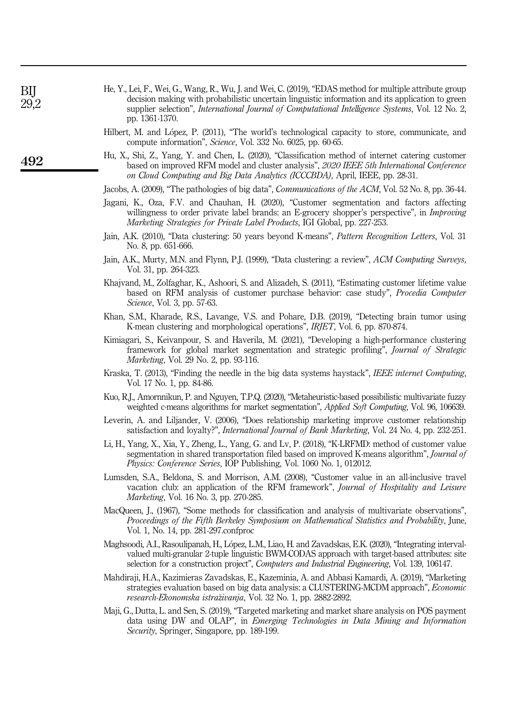- <span id="page-36-14"></span>He, Y., Lei, F., Wei, G., Wang, R., Wu, J. and Wei, C. (2019), "EDAS method for multiple attribute group decision making with probabilistic uncertain linguistic information and its application to green supplier selection", *International Journal of Computational Intelligence Systems*, Vol. 12 No. 2, pp. 1361-1370.
- <span id="page-36-2"></span>Hilbert, M. and Lopez, P. (2011), "The world's technological capacity to store, communicate, and compute information", Science, Vol. 332 No. 6025, pp. 60-65.
- <span id="page-36-15"></span>Hu, X., Shi, Z., Yang, Y. and Chen, L. (2020), "Classification method of internet catering customer based on improved RFM model and cluster analysis", 2020 IEEE 5th International Conference on Cloud Computing and Big Data Analytics (ICCCBDA), April, IEEE, pp. 28-31.

<span id="page-36-3"></span>Jacobs, A. (2009), "The pathologies of big data", Communications of the ACM, Vol. 52 No. 8, pp. 36-44.

- <span id="page-36-6"></span>Jagani, K., Oza, F.V. and Chauhan, H. (2020), "Customer segmentation and factors affecting willingness to order private label brands: an E-grocery shopper's perspective", in *Improving* Marketing Strategies for Private Label Products, IGI Global, pp. 227-253.
- <span id="page-36-11"></span>Jain, A.K. (2010), "Data clustering: 50 years beyond K-means", Pattern Recognition Letters, Vol. 31 No. 8, pp. 651-666.
- <span id="page-36-9"></span>Jain, A.K., Murty, M.N. and Flynn, P.J. (1999), "Data clustering: a review", ACM Computing Surveys, Vol. 31, pp. 264-323.
- <span id="page-36-8"></span>Khajvand, M., Zolfaghar, K., Ashoori, S. and Alizadeh, S. (2011), "Estimating customer lifetime value based on RFM analysis of customer purchase behavior: case study", Procedia Computer Science, Vol. 3, pp. 57-63.
- <span id="page-36-12"></span>Khan, S.M., Kharade, R.S., Lavange, V.S. and Pohare, D.B. (2019), "Detecting brain tumor using K-mean clustering and morphological operations", IRJET, Vol. 6, pp. 870-874.
- <span id="page-36-16"></span>Kimiagari, S., Keivanpour, S. and Haverila, M. (2021), "Developing a high-performance clustering framework for global market segmentation and strategic profiling", Journal of Strategic Marketing, Vol. 29 No. 2, pp. 93-116.
- <span id="page-36-4"></span>Kraska, T. (2013), "Finding the needle in the big data systems haystack", IEEE internet Computing, Vol. 17 No. 1, pp. 84-86.
- <span id="page-36-1"></span>Kuo, R.J., Amornnikun, P. and Nguyen, T.P.Q. (2020), "Metaheuristic-based possibilistic multivariate fuzzy weighted c-means algorithms for market segmentation", *Applied Soft Computing*, Vol. 96, 106639.
- <span id="page-36-0"></span>Leverin, A. and Liljander, V. (2006), "Does relationship marketing improve customer relationship satisfaction and loyalty?", *International Journal of Bank Marketing*, Vol. 24 No. 4, pp. 232-251.
- <span id="page-36-17"></span>Li, H., Yang, X., Xia, Y., Zheng, L., Yang, G. and Lv, P. (2018), "K-LRFMD: method of customer value segmentation in shared transportation filed based on improved K-means algorithm", *Journal of* Physics: Conference Series, IOP Publishing, Vol. 1060 No. 1, 012012.
- <span id="page-36-7"></span>Lumsden, S.A., Beldona, S. and Morrison, A.M. (2008), "Customer value in an all-inclusive travel vacation club: an application of the RFM framework", Journal of Hospitality and Leisure Marketing, Vol. 16 No. 3, pp. 270-285.
- <span id="page-36-10"></span>MacQueen, J., (1967), "Some methods for classification and analysis of multivariate observations", Proceedings of the Fifth Berkeley Symposium on Mathematical Statistics and Probability, June, Vol. 1, No. 14, pp. 281-297.confproc
- <span id="page-36-13"></span>Maghsoodi, A.I., Rasoulipanah, H., Lopez, L.M., Liao, H. and Zavadskas, E.K. (2020), "Integrating intervalvalued multi-granular 2-tuple linguistic BWM-CODAS approach with target-based attributes: site selection for a construction project", Computers and Industrial Engineering, Vol. 139, 106147.
- <span id="page-36-5"></span>Mahdiraji, H.A., Kazimieras Zavadskas, E., Kazeminia, A. and Abbasi Kamardi, A. (2019), "Marketing strategies evaluation based on big data analysis: a CLUSTERING-MCDM approach", Economic research-Ekonomska istrazivanja, Vol. 32 No. 1, pp. 2882-2892.
- <span id="page-36-18"></span>Maji, G., Dutta, L. and Sen, S. (2019), "Targeted marketing and market share analysis on POS payment data using DW and OLAP", in Emerging Technologies in Data Mining and Information Security, Springer, Singapore, pp. 189-199.

492

BIJ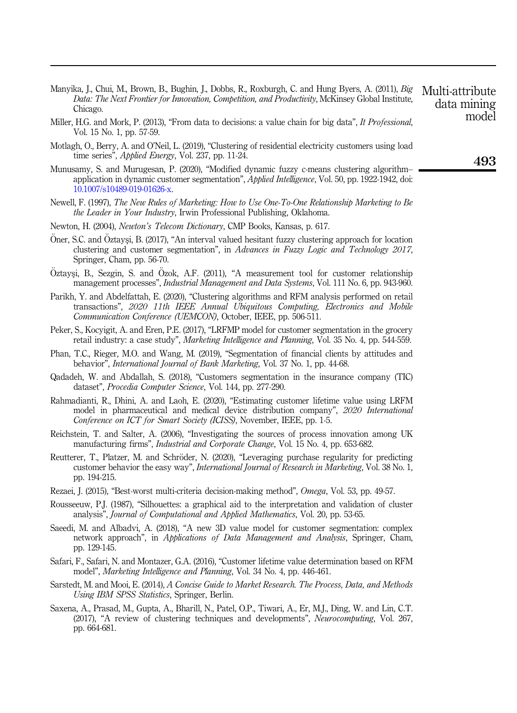- <span id="page-37-4"></span>Manyika, J., Chui, M., Brown, B., Bughin, J., Dobbs, R., Roxburgh, C. and Hung Byers, A. (2011), Big Data: The Next Frontier for Innovation, Competition, and Productivity, McKinsey Global Institute, Chicago. Multi-attribute
- <span id="page-37-3"></span>Miller, H.G. and Mork, P. (2013), "From data to decisions: a value chain for big data", It Professional, Vol. 15 No. 1, pp. 57-59.
- <span id="page-37-18"></span>Motlagh, O., Berry, A. and O'Neil, L. (2019), "Clustering of residential electricity customers using load time series", *Applied Energy*, Vol. 237, pp. 11-24.
- <span id="page-37-12"></span>Munusamy, S. and Murugesan, P. (2020), "Modified dynamic fuzzy c-means clustering algorithm– application in dynamic customer segmentation", Applied Intelligence, Vol. 50, pp. 1922-1942, doi: [10.1007/s10489-019-01626-x.](https://doi.org/10.1007/s10489-019-01626-x)
- <span id="page-37-2"></span>Newell, F. (1997), The New Rules of Marketing: How to Use One-To-One Relationship Marketing to Be the Leader in Your Industry, Irwin Professional Publishing, Oklahoma.
- <span id="page-37-5"></span>Newton, H. (2004), Newton's Telecom Dictionary, CMP Books, Kansas, p. 617.
- <span id="page-37-14"></span>Oner, S.C. and Oztaysi, B. (2017), "An interval valued hesitant fuzzy clustering approach for location clustering and customer segmentation", in Advances in Fuzzy Logic and Technology 2017, Springer, Cham, pp. 56-70.
- <span id="page-37-0"></span>Oztaysi, B., Sezgin, S. and Ozok, A.F.  $(2011)$ , "A measurement tool for customer relationship management processes", *Industrial Management and Data Systems*, Vol. 111 No. 6, pp. 943-960.
- <span id="page-37-11"></span>Parikh, Y. and Abdelfattah, E. (2020), "Clustering algorithms and RFM analysis performed on retail transactions", 2020 11th IEEE Annual Ubiquitous Computing, Electronics and Mobile Communication Conference (UEMCON), October, IEEE, pp. 506-511.
- <span id="page-37-6"></span>Peker, S., Kocyigit, A. and Eren, P.E. (2017), "LRFMP model for customer segmentation in the grocery retail industry: a case study", Marketing Intelligence and Planning, Vol. 35 No. 4, pp. 544-559.
- <span id="page-37-17"></span>Phan, T.C., Rieger, M.O. and Wang, M. (2019), "Segmentation of financial clients by attitudes and behavior", International Journal of Bank Marketing, Vol. 37 No. 1, pp. 44-68.
- <span id="page-37-15"></span>Qadadeh, W. and Abdallah, S. (2018), "Customers segmentation in the insurance company (TIC) dataset", Procedia Computer Science, Vol. 144, pp. 277-290.
- <span id="page-37-19"></span>Rahmadianti, R., Dhini, A. and Laoh, E. (2020), "Estimating customer lifetime value using LRFM model in pharmaceutical and medical device distribution company", 2020 International Conference on ICT for Smart Society (ICISS), November, IEEE, pp. 1-5.
- <span id="page-37-1"></span>Reichstein, T. and Salter, A. (2006), "Investigating the sources of process innovation among UK manufacturing firms", *Industrial and Corporate Change*, Vol. 15 No. 4, pp. 653-682.
- <span id="page-37-13"></span>Reutterer, T., Platzer, M. and Schröder, N. (2020), "Leveraging purchase regularity for predicting customer behavior the easy way", International Journal of Research in Marketing, Vol. 38 No. 1, pp. 194-215.
- <span id="page-37-10"></span>Rezaei, J. (2015), "Best-worst multi-criteria decision-making method", Omega, Vol. 53, pp. 49-57.
- <span id="page-37-9"></span>Rousseeuw, P.J. (1987), "Silhouettes: a graphical aid to the interpretation and validation of cluster analysis", Journal of Computational and Applied Mathematics, Vol. 20, pp. 53-65.
- <span id="page-37-16"></span>Saeedi, M. and Albadvi, A. (2018), "A new 3D value model for customer segmentation: complex network approach", in Applications of Data Management and Analysis, Springer, Cham, pp. 129-145.
- <span id="page-37-7"></span>Safari, F., Safari, N. and Montazer, G.A. (2016), "Customer lifetime value determination based on RFM model", Marketing Intelligence and Planning, Vol. 34 No. 4, pp. 446-461.
- <span id="page-37-8"></span>Sarstedt, M. and Mooi, E. (2014), A Concise Guide to Market Research. The Process, Data, and Methods Using IBM SPSS Statistics, Springer, Berlin.
- Saxena, A., Prasad, M., Gupta, A., Bharill, N., Patel, O.P., Tiwari, A., Er, M.J., Ding, W. and Lin, C.T. (2017), "A review of clustering techniques and developments", Neurocomputing, Vol. 267, pp. 664-681.

493

data mining model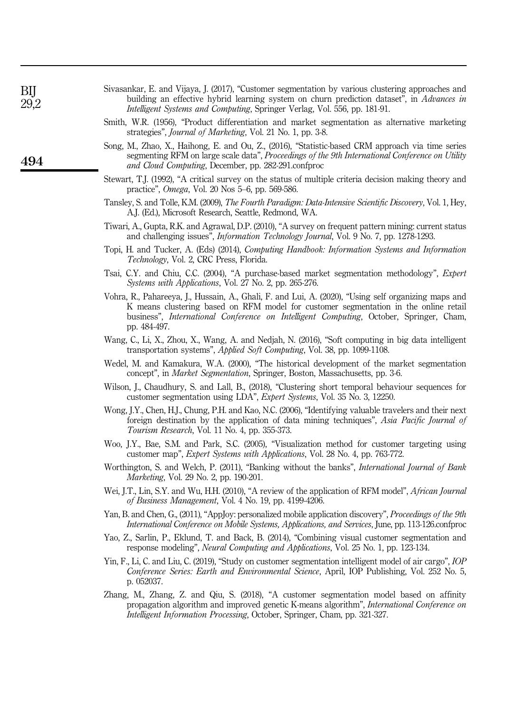| BIJ<br>29,2 | Sivasankar, E. and Vijaya, J. (2017), "Customer segmentation by various clustering approaches and<br>building an effective hybrid learning system on churn prediction dataset", in <i>Advances in</i><br><i>Intelligent Systems and Computing, Springer Verlag, Vol. 556, pp. 181-91.</i>                      |  |  |  |  |  |
|-------------|----------------------------------------------------------------------------------------------------------------------------------------------------------------------------------------------------------------------------------------------------------------------------------------------------------------|--|--|--|--|--|
|             | Smith, W.R. (1956), "Product differentiation and market segmentation as alternative marketing<br>strategies", <i>Journal of Marketing</i> , Vol. 21 No. 1, pp. 3-8.                                                                                                                                            |  |  |  |  |  |
| 494         | Song, M., Zhao, X., Haihong, E. and Ou, Z., (2016), "Statistic-based CRM approach via time series<br>segmenting RFM on large scale data", Proceedings of the 9th International Conference on Utility<br>and Cloud Computing, December, pp. 282-291.confproc                                                    |  |  |  |  |  |
|             | Stewart, T.J. (1992), "A critical survey on the status of multiple criteria decision making theory and<br>practice", <i>Omega</i> , Vol. 20 Nos 5–6, pp. 569-586.                                                                                                                                              |  |  |  |  |  |
|             | Tansley, S. and Tolle, K.M. (2009), The Fourth Paradigm: Data-Intensive Scientific Discovery, Vol. 1, Hey,<br>A.J. (Ed.), Microsoft Research, Seattle, Redmond, WA.                                                                                                                                            |  |  |  |  |  |
|             | Tiwari, A., Gupta, R.K. and Agrawal, D.P. (2010), "A survey on frequent pattern mining: current status<br>and challenging issues", <i>Information Technology Journal</i> , Vol. 9 No. 7, pp. 1278-1293.                                                                                                        |  |  |  |  |  |
|             | Topi, H. and Tucker, A. (Eds) (2014), <i>Computing Handbook: Information Systems and Information</i><br>Technology, Vol. 2, CRC Press, Florida.                                                                                                                                                                |  |  |  |  |  |
|             | Tsai, C.Y. and Chiu, C.C. (2004), "A purchase-based market segmentation methodology", <i>Expert</i><br><i>Systems with Applications, Vol. 27 No. 2, pp. 265-276.</i>                                                                                                                                           |  |  |  |  |  |
|             | Vohra, R., Pahareeya, J., Hussain, A., Ghali, F. and Lui, A. (2020), "Using self organizing maps and<br>K means clustering based on RFM model for customer segmentation in the online retail<br>business", <i>International Conference on Intelligent Computing</i> , October, Springer, Cham,<br>pp. 484-497. |  |  |  |  |  |
|             | Wang, C., Li, X., Zhou, X., Wang, A. and Nedjah, N. (2016), "Soft computing in big data intelligent<br>transportation systems", <i>Applied Soft Computing</i> , Vol. 38, pp. 1099-1108.                                                                                                                        |  |  |  |  |  |
|             | Wedel, M. and Kamakura, W.A. (2000), "The historical development of the market segmentation<br>concept", in <i>Market Segmentation</i> , Springer, Boston, Massachusetts, pp. 3-6.                                                                                                                             |  |  |  |  |  |
|             | Wilson, J., Chaudhury, S. and Lall, B., (2018), "Clustering short temporal behaviour sequences for<br>customer segmentation using LDA", Expert Systems, Vol. 35 No. 3, 12250.                                                                                                                                  |  |  |  |  |  |
|             | Wong, J.Y., Chen, H.J., Chung, P.H. and Kao, N.C. (2006), "Identifying valuable travelers and their next<br>foreign destination by the application of data mining techniques", Asia Pacific Journal of<br><i>Tourism Research</i> , Vol. 11 No. 4, pp. 355-373.                                                |  |  |  |  |  |
|             | Woo, J.Y., Bae, S.M. and Park, S.C. (2005), "Visualization method for customer targeting using<br>customer map", Expert Systems with Applications, Vol. 28 No. 4, pp. 763-772.                                                                                                                                 |  |  |  |  |  |

<span id="page-38-16"></span><span id="page-38-15"></span><span id="page-38-14"></span><span id="page-38-13"></span><span id="page-38-7"></span><span id="page-38-6"></span><span id="page-38-5"></span><span id="page-38-4"></span> $S'$  and  $F$  and  $V''$  is  $I$  (2017), "Customer segmentation by various clustering approaches and approaches and approaches and approaches and approaches and approaches and approaches and approaches and approaches and appr

- <span id="page-38-19"></span><span id="page-38-17"></span><span id="page-38-11"></span><span id="page-38-10"></span><span id="page-38-3"></span><span id="page-38-2"></span><span id="page-38-0"></span>Worthington, S. and Welch, P. (2011), "Banking without the banks", *International Journal of Bank* Marketing, Vol. 29 No. 2, pp. 190-201.
- <span id="page-38-12"></span>Wei, J.T., Lin, S.Y. and Wu, H.H. (2010), "A review of the application of RFM model", African Journal of Business Management, Vol. 4 No. 19, pp. 4199-4206.
- <span id="page-38-9"></span>Yan, B. and Chen, G., (2011), "AppJoy: personalized mobile application discovery", Proceedings of the 9th International Conference on Mobile Systems, Applications, and Services, June, pp. 113-126.confproc
- <span id="page-38-1"></span>Yao, Z., Sarlin, P., Eklund, T. and Back, B. (2014), "Combining visual customer segmentation and response modeling", Neural Computing and Applications, Vol. 25 No. 1, pp. 123-134.
- <span id="page-38-8"></span>Yin, F., Li, C. and Liu, C. (2019), "Study on customer segmentation intelligent model of air cargo", IOP Conference Series: Earth and Environmental Science, April, IOP Publishing, Vol. 252 No. 5, p. 052037.
- <span id="page-38-18"></span>Zhang, M., Zhang, Z. and Qiu, S. (2018), "A customer segmentation model based on affinity propagation algorithm and improved genetic K-means algorithm", International Conference on Intelligent Information Processing, October, Springer, Cham, pp. 321-327.